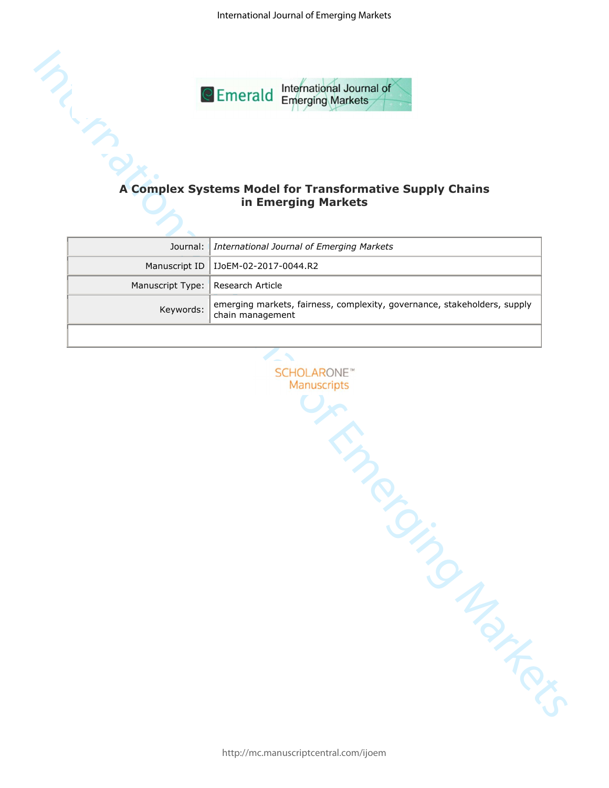International Journal of Emerging Markets



# **in Emerging Markets**

|                                     | Journal:   International Journal of Emerging Markets                                         |  |
|-------------------------------------|----------------------------------------------------------------------------------------------|--|
|                                     | Manuscript ID   IJoEM-02-2017-0044.R2                                                        |  |
| Manuscript Type:   Research Article |                                                                                              |  |
| Keywords:                           | emerging markets, fairness, complexity, governance, stakeholders, supply<br>chain management |  |
|                                     |                                                                                              |  |

International Journal of Emerging Markets **A Complex Systems Model for Transformative Supply Chains and Model for Transformative Supply Chains and Model For Transformative Supply Chains and Model Markets and Model Markets**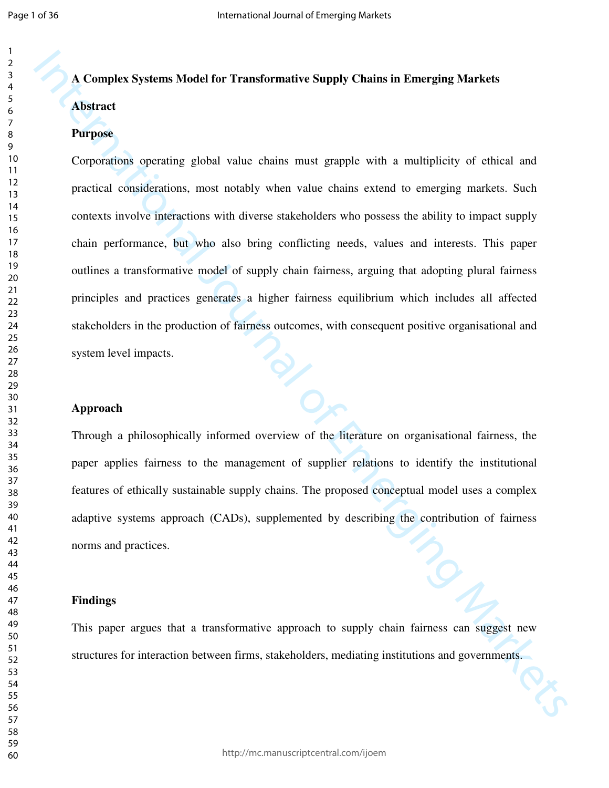# **A Complex Systems Model for Transformative Supply Chains in Emerging Markets Abstract**

#### **Purpose**

A Complet Systems Model for Transformative Supply Chains in Emerging Markets<br>
Abstract<br>
Purpose<br>
Corporations operating global value chains must grapple with a multiplicity of eitical and<br>
practical considerations, most no Corporations operating global value chains must grapple with a multiplicity of ethical and practical considerations, most notably when value chains extend to emerging markets. Such contexts involve interactions with diverse stakeholders who possess the ability to impact supply chain performance, but who also bring conflicting needs, values and interests. This paper outlines a transformative model of supply chain fairness, arguing that adopting plural fairness principles and practices generates a higher fairness equilibrium which includes all affected stakeholders in the production of fairness outcomes, with consequent positive organisational and system level impacts.

#### **Approach**

Through a philosophically informed overview of the literature on organisational fairness, the paper applies fairness to the management of supplier relations to identify the institutional features of ethically sustainable supply chains. The proposed conceptual model uses a complex adaptive systems approach (CADs), supplemented by describing the contribution of fairness norms and practices.

#### **Findings**

This paper argues that a transformative approach to supply chain fairness can suggest new structures for interaction between firms, stakeholders, mediating institutions and governments.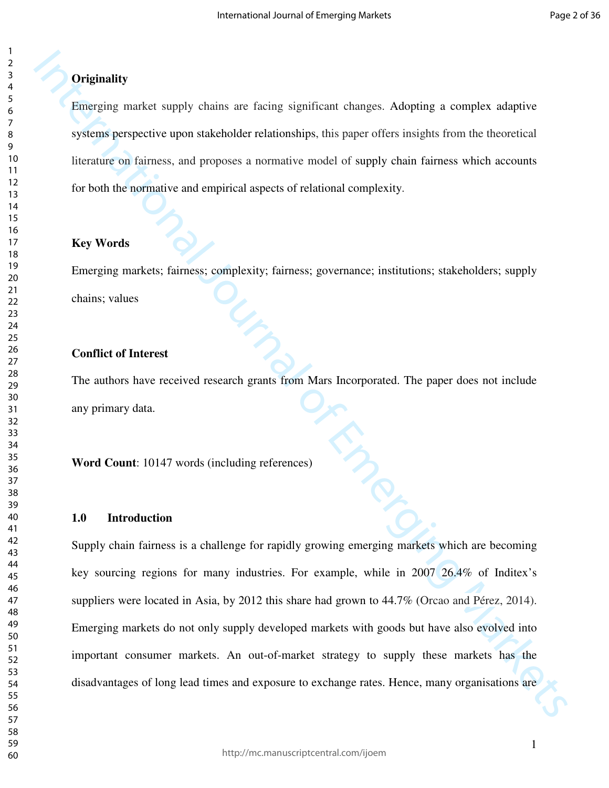#### **Originality**

Emerging market supply chains are facing significant changes. Adopting a complex adaptive systems perspective upon stakeholder relationships, this paper offers insights from the theoretical literature on fairness, and proposes a normative model of supply chain fairness which accounts for both the normative and empirical aspects of relational complexity.

#### **Key Words**

Emerging markets; fairness; complexity; fairness; governance; institutions; stakeholders; supply chains; values

#### **Conflict of Interest**

The authors have received research grants from Mars Incorporated. The paper does not include any primary data.

**Word Count**: 10147 words (including references)

#### **1.0 Introduction**

**Originality**<br> **Enterging market supply chains are facing significant changes.** Adopting a complex adaptive<br>
systems perspective upon stakeholder relationships, this paper offers insights from the theoretical<br>
linetature Supply chain fairness is a challenge for rapidly growing emerging markets which are becoming key sourcing regions for many industries. For example, while in 2007 26.4% of Inditex's suppliers were located in Asia, by 2012 this share had grown to 44.7% (Orcao and Pérez, 2014). Emerging markets do not only supply developed markets with goods but have also evolved into important consumer markets. An out-of-market strategy to supply these markets has the disadvantages of long lead times and exposure to exchange rates. Hence, many organisations are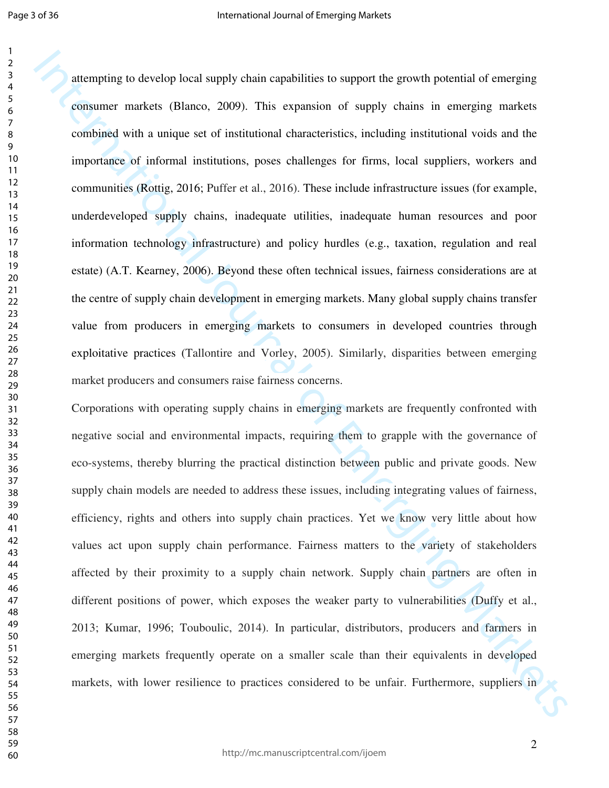attenneting to develop local supply chain equabilities to support the growth potential of someging<br>resistance metalats (Blances, 2009). This expansion of supply chains in energing markets<br>combined with a unique set of ins attempting to develop local supply chain capabilities to support the growth potential of emerging consumer markets (Blanco, 2009). This expansion of supply chains in emerging markets combined with a unique set of institutional characteristics, including institutional voids and the importance of informal institutions, poses challenges for firms, local suppliers, workers and communities (Rottig, 2016; Puffer et al., 2016). These include infrastructure issues (for example, underdeveloped supply chains, inadequate utilities, inadequate human resources and poor information technology infrastructure) and policy hurdles (e.g., taxation, regulation and real estate) (A.T. Kearney, 2006). Beyond these often technical issues, fairness considerations are at the centre of supply chain development in emerging markets. Many global supply chains transfer value from producers in emerging markets to consumers in developed countries through exploitative practices (Tallontire and Vorley, 2005). Similarly, disparities between emerging market producers and consumers raise fairness concerns.

Corporations with operating supply chains in emerging markets are frequently confronted with negative social and environmental impacts, requiring them to grapple with the governance of eco-systems, thereby blurring the practical distinction between public and private goods. New supply chain models are needed to address these issues, including integrating values of fairness, efficiency, rights and others into supply chain practices. Yet we know very little about how values act upon supply chain performance. Fairness matters to the variety of stakeholders affected by their proximity to a supply chain network. Supply chain partners are often in different positions of power, which exposes the weaker party to vulnerabilities (Duffy et al., 2013; Kumar, 1996; Touboulic, 2014). In particular, distributors, producers and farmers in emerging markets frequently operate on a smaller scale than their equivalents in developed markets, with lower resilience to practices considered to be unfair. Furthermore, suppliers in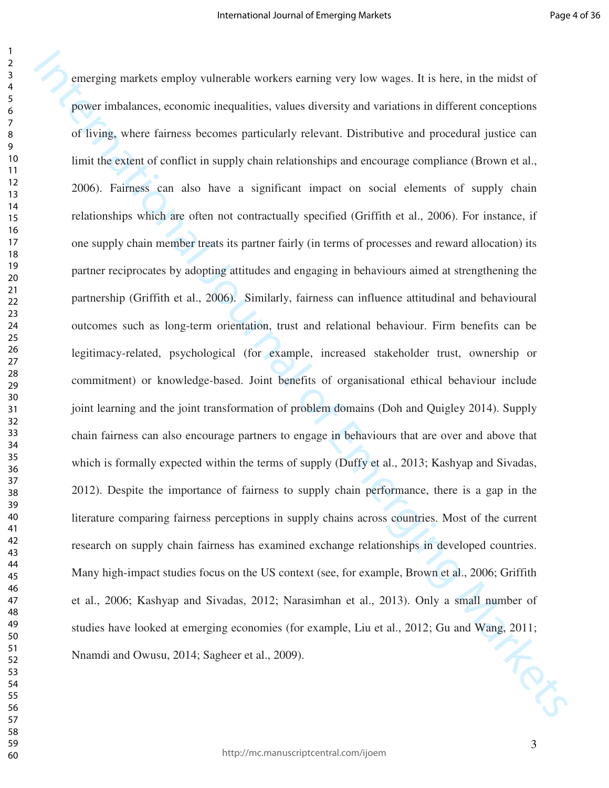emerging markets employ vulncatable workers carning very low wages. It is best, in the midst of prover in<br>balances, economic inequalities, values diversity and variations in different carnegations<br>of Elving, where fatimes emerging markets employ vulnerable workers earning very low wages. It is here, in the midst of power imbalances, economic inequalities, values diversity and variations in different conceptions of living, where fairness becomes particularly relevant. Distributive and procedural justice can limit the extent of conflict in supply chain relationships and encourage compliance (Brown et al., 2006). Fairness can also have a significant impact on social elements of supply chain relationships which are often not contractually specified (Griffith et al., 2006). For instance, if one supply chain member treats its partner fairly (in terms of processes and reward allocation) its partner reciprocates by adopting attitudes and engaging in behaviours aimed at strengthening the partnership (Griffith et al., 2006). Similarly, fairness can influence attitudinal and behavioural outcomes such as long-term orientation, trust and relational behaviour. Firm benefits can be legitimacy-related, psychological (for example, increased stakeholder trust, ownership or commitment) or knowledge-based. Joint benefits of organisational ethical behaviour include joint learning and the joint transformation of problem domains (Doh and Quigley 2014). Supply chain fairness can also encourage partners to engage in behaviours that are over and above that which is formally expected within the terms of supply (Duffy et al., 2013; Kashyap and Sivadas, 2012). Despite the importance of fairness to supply chain performance, there is a gap in the literature comparing fairness perceptions in supply chains across countries. Most of the current research on supply chain fairness has examined exchange relationships in developed countries. Many high-impact studies focus on the US context (see, for example, Brown et al., 2006; Griffith et al., 2006; Kashyap and Sivadas, 2012; Narasimhan et al., 2013). Only a small number of studies have looked at emerging economies (for example, Liu et al., 2012; Gu and Wang, 2011; Nnamdi and Owusu, 2014; Sagheer et al., 2009).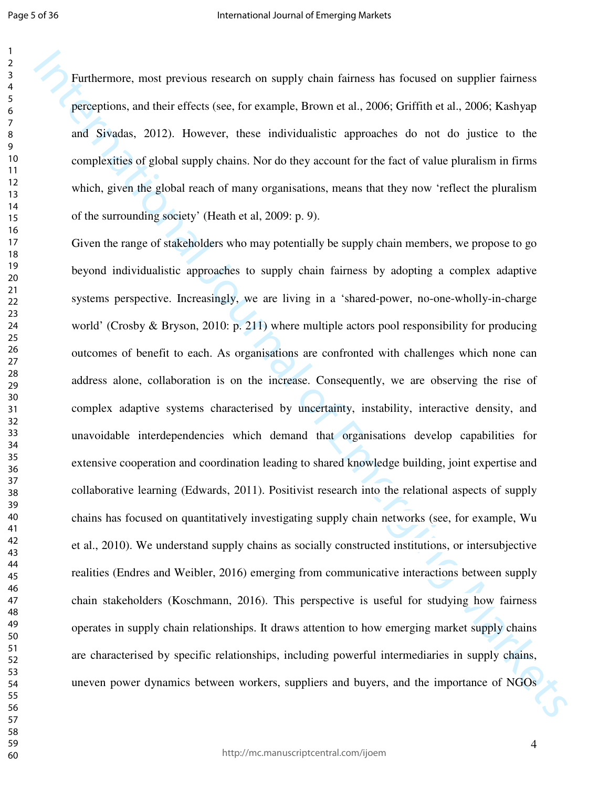Furthermore, most previous research on supply chain fairness has focused on supplier fairness perceptions, and their effects (see, for example, Brown et al., 2006; Griffith et al., 2006; Kashyap and Sivadas, 2012). However, these individualistic approaches do not do justice to the complexities of global supply chains. Nor do they account for the fact of value pluralism in firms which, given the global reach of many organisations, means that they now 'reflect the pluralism of the surrounding society' (Heath et al, 2009: p. 9).

Furthermore, most previous exearch on supply chain fairness has focused on supplier fainess prefequions, and their effects (see, for example, Brows et al., 2006; Griffuln al., 2006; Griffuln al., 2006; Griffuln and Sivada Given the range of stakeholders who may potentially be supply chain members, we propose to go beyond individualistic approaches to supply chain fairness by adopting a complex adaptive systems perspective. Increasingly, we are living in a 'shared-power, no-one-wholly-in-charge world' (Crosby & Bryson, 2010: p. 211) where multiple actors pool responsibility for producing outcomes of benefit to each. As organisations are confronted with challenges which none can address alone, collaboration is on the increase. Consequently, we are observing the rise of complex adaptive systems characterised by uncertainty, instability, interactive density, and unavoidable interdependencies which demand that organisations develop capabilities for extensive cooperation and coordination leading to shared knowledge building, joint expertise and collaborative learning (Edwards, 2011). Positivist research into the relational aspects of supply chains has focused on quantitatively investigating supply chain networks (see, for example, Wu et al., 2010). We understand supply chains as socially constructed institutions, or intersubjective realities (Endres and Weibler, 2016) emerging from communicative interactions between supply chain stakeholders (Koschmann, 2016). This perspective is useful for studying how fairness operates in supply chain relationships. It draws attention to how emerging market supply chains are characterised by specific relationships, including powerful intermediaries in supply chains, uneven power dynamics between workers, suppliers and buyers, and the importance of NGOs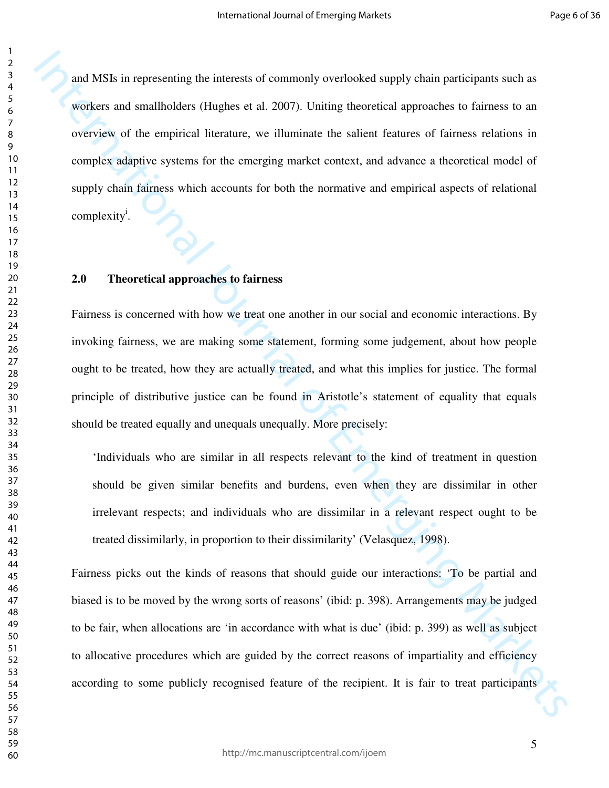and MSIs in representing the interests of commonly overloaked supply chain participants such as<br>wisters and small<br>holders (Inglues et al. 2007). Uniting theoretical approaches to fairness to a<br>overrigive of the empirical and MSIs in representing the interests of commonly overlooked supply chain participants such as workers and smallholders (Hughes et al. 2007). Uniting theoretical approaches to fairness to an overview of the empirical literature, we illuminate the salient features of fairness relations in complex adaptive systems for the emerging market context, and advance a theoretical model of supply chain fairness which accounts for both the normative and empirical aspects of relational complexity<sup>i</sup>.

#### **2.0 Theoretical approaches to fairness**

Fairness is concerned with how we treat one another in our social and economic interactions. By invoking fairness, we are making some statement, forming some judgement, about how people ought to be treated, how they are actually treated, and what this implies for justice. The formal principle of distributive justice can be found in Aristotle's statement of equality that equals should be treated equally and unequals unequally. More precisely:

'Individuals who are similar in all respects relevant to the kind of treatment in question should be given similar benefits and burdens, even when they are dissimilar in other irrelevant respects; and individuals who are dissimilar in a relevant respect ought to be treated dissimilarly, in proportion to their dissimilarity' (Velasquez, 1998).

Fairness picks out the kinds of reasons that should guide our interactions: 'To be partial and biased is to be moved by the wrong sorts of reasons' (ibid: p. 398). Arrangements may be judged to be fair, when allocations are 'in accordance with what is due' (ibid: p. 399) as well as subject to allocative procedures which are guided by the correct reasons of impartiality and efficiency according to some publicly recognised feature of the recipient. It is fair to treat participants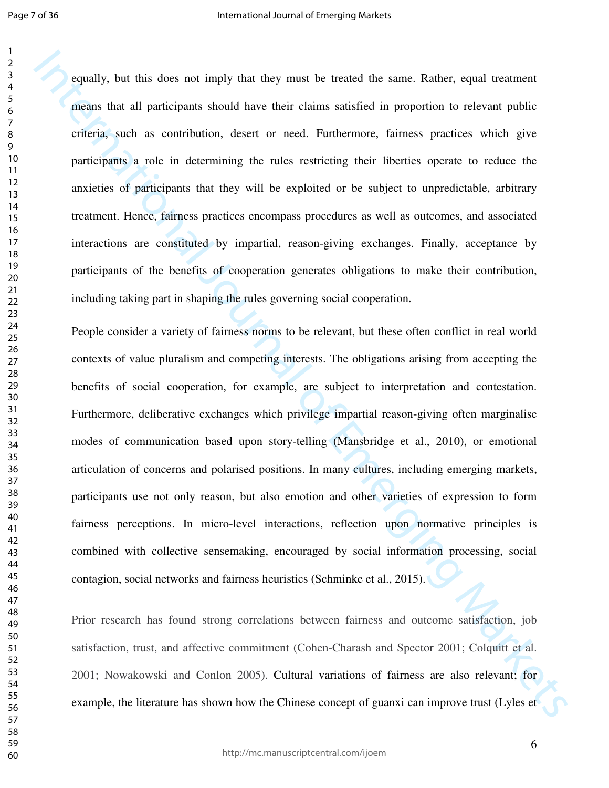equally, but this does not imply that they must be treated the same. Rather, equal treatment means that all participants should have their claims satisfied in proportion to relevant public criteria, such as contribution, desert or need. Furthermore, fairness practices which give participants a role in determining the rules restricting their liberties operate to reduce the anxieties of participants that they will be exploited or be subject to unpredictable, arbitrary treatment. Hence, fairness practices encompass procedures as well as outcomes, and associated interactions are constituted by impartial, reason-giving exchanges. Finally, acceptance by participants of the benefits of cooperation generates obligations to make their contribution, including taking part in shaping the rules governing social cooperation.

Is equally, but this does not imply that they must be teated the same. Rather, equal teatment means that all participants should lave their elains satisfied in proposition to relevant public enterja, such as contribution, People consider a variety of fairness norms to be relevant, but these often conflict in real world contexts of value pluralism and competing interests. The obligations arising from accepting the benefits of social cooperation, for example, are subject to interpretation and contestation. Furthermore, deliberative exchanges which privilege impartial reason-giving often marginalise modes of communication based upon story-telling (Mansbridge et al., 2010), or emotional articulation of concerns and polarised positions. In many cultures, including emerging markets, participants use not only reason, but also emotion and other varieties of expression to form fairness perceptions. In micro-level interactions, reflection upon normative principles is combined with collective sensemaking, encouraged by social information processing, social contagion, social networks and fairness heuristics (Schminke et al., 2015).

Prior research has found strong correlations between fairness and outcome satisfaction, job satisfaction, trust, and affective commitment (Cohen-Charash and Spector 2001; Colquitt et al. 2001; Nowakowski and Conlon 2005). Cultural variations of fairness are also relevant; for example, the literature has shown how the Chinese concept of guanxi can improve trust (Lyles et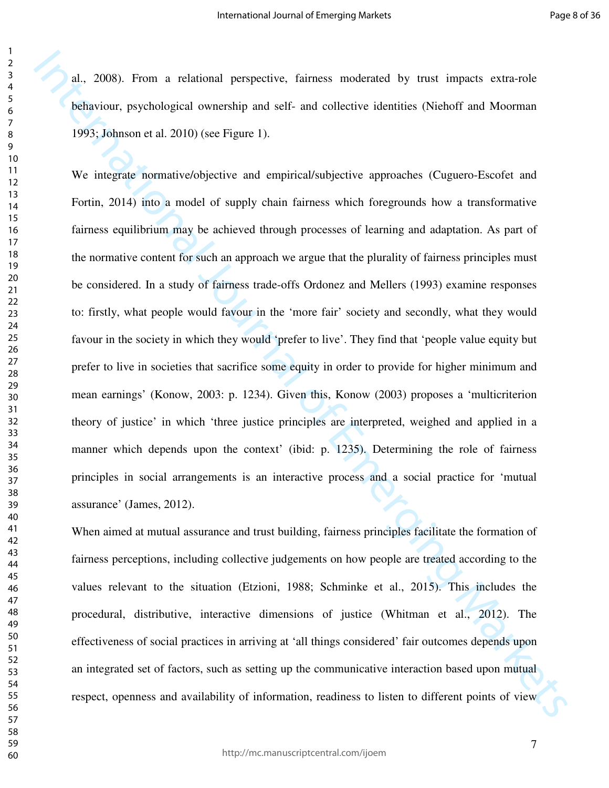al., 2008). From a relational perspective, fairness moderated by trust impacts extra-role behaviour, psychological ownership and self- and collective identities (Niehoff and Moorman 1993; Johnson et al. 2010) (see Figure 1).

**11.** 2008). From a relational perspective, fainess moderated by mast impacts extra-role behaviour, psychological rownstship and self and collective identities (Nieloff and Moneman 1993, Johnson et al. 2010) (see Figure 1 We integrate normative/objective and empirical/subjective approaches (Cuguero-Escofet and Fortin, 2014) into a model of supply chain fairness which foregrounds how a transformative fairness equilibrium may be achieved through processes of learning and adaptation. As part of the normative content for such an approach we argue that the plurality of fairness principles must be considered. In a study of fairness trade-offs Ordonez and Mellers (1993) examine responses to: firstly, what people would favour in the 'more fair' society and secondly, what they would favour in the society in which they would 'prefer to live'. They find that 'people value equity but prefer to live in societies that sacrifice some equity in order to provide for higher minimum and mean earnings' (Konow, 2003: p. 1234). Given this, Konow (2003) proposes a 'multicriterion theory of justice' in which 'three justice principles are interpreted, weighed and applied in a manner which depends upon the context' (ibid: p. 1235). Determining the role of fairness principles in social arrangements is an interactive process and a social practice for 'mutual assurance' (James, 2012).

When aimed at mutual assurance and trust building, fairness principles facilitate the formation of fairness perceptions, including collective judgements on how people are treated according to the values relevant to the situation (Etzioni, 1988; Schminke et al., 2015). This includes the procedural, distributive, interactive dimensions of justice (Whitman et al., 2012). The effectiveness of social practices in arriving at 'all things considered' fair outcomes depends upon an integrated set of factors, such as setting up the communicative interaction based upon mutual respect, openness and availability of information, readiness to listen to different points of view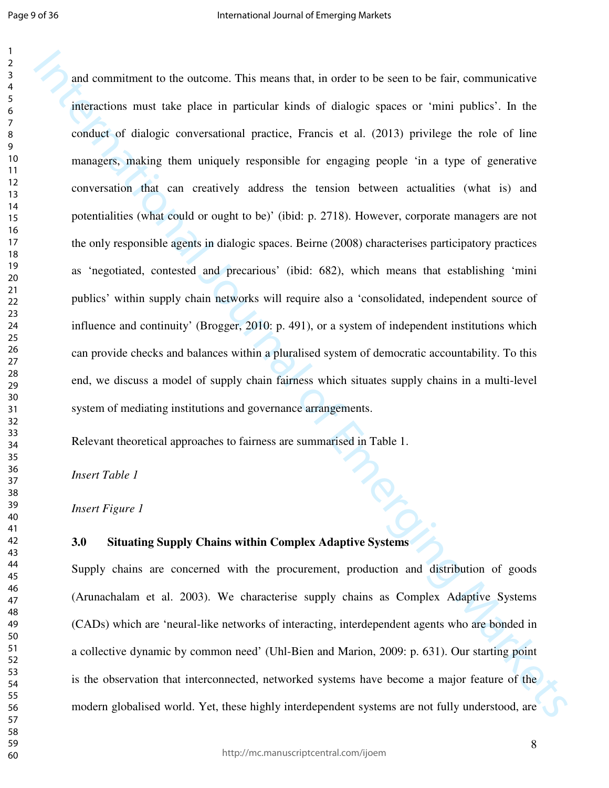and commitment to the outcome. This means that, in order to be seen to be fail, communicative<br>interactions must take place in particular kinds of dialogic spaces or "mini-publics". In the<br>conduct of dialogic conversationa and commitment to the outcome. This means that, in order to be seen to be fair, communicative interactions must take place in particular kinds of dialogic spaces or 'mini publics'. In the conduct of dialogic conversational practice, Francis et al. (2013) privilege the role of line managers, making them uniquely responsible for engaging people 'in a type of generative conversation that can creatively address the tension between actualities (what is) and potentialities (what could or ought to be)' (ibid: p. 2718). However, corporate managers are not the only responsible agents in dialogic spaces. Beirne (2008) characterises participatory practices as 'negotiated, contested and precarious' (ibid: 682), which means that establishing 'mini publics' within supply chain networks will require also a 'consolidated, independent source of influence and continuity' (Brogger, 2010: p. 491), or a system of independent institutions which can provide checks and balances within a pluralised system of democratic accountability. To this end, we discuss a model of supply chain fairness which situates supply chains in a multi-level system of mediating institutions and governance arrangements.

Relevant theoretical approaches to fairness are summarised in Table 1.

*Insert Table 1* 

*Insert Figure 1* 

#### **3.0 Situating Supply Chains within Complex Adaptive Systems**

Supply chains are concerned with the procurement, production and distribution of goods (Arunachalam et al. 2003). We characterise supply chains as Complex Adaptive Systems (CADs) which are 'neural-like networks of interacting, interdependent agents who are bonded in a collective dynamic by common need' (Uhl-Bien and Marion, 2009: p. 631). Our starting point is the observation that interconnected, networked systems have become a major feature of the modern globalised world. Yet, these highly interdependent systems are not fully understood, are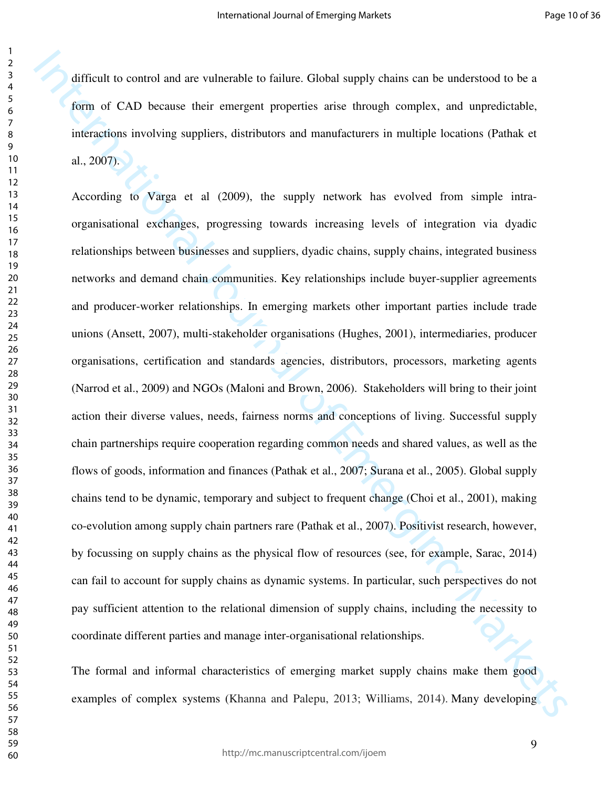difficult to control and are vulnerable to failure. Global supply chains can be understood to be a form of CAD because their emergent properties arise through complex, and unpredictable, interactions involving suppliers, distributors and manufacturers in multiple locations (Pathak et al., 2007).

difficult to control and are vulncizable to failure. Global supply chains can be understood to be a form of CAD because their energient properties arise through complex, and unpredictable, interactions involving suppliers According to Varga et al (2009), the supply network has evolved from simple intraorganisational exchanges, progressing towards increasing levels of integration via dyadic relationships between businesses and suppliers, dyadic chains, supply chains, integrated business networks and demand chain communities. Key relationships include buyer-supplier agreements and producer-worker relationships. In emerging markets other important parties include trade unions (Ansett, 2007), multi-stakeholder organisations (Hughes, 2001), intermediaries, producer organisations, certification and standards agencies, distributors, processors, marketing agents (Narrod et al., 2009) and NGOs (Maloni and Brown, 2006). Stakeholders will bring to their joint action their diverse values, needs, fairness norms and conceptions of living. Successful supply chain partnerships require cooperation regarding common needs and shared values, as well as the flows of goods, information and finances (Pathak et al., 2007; Surana et al., 2005). Global supply chains tend to be dynamic, temporary and subject to frequent change (Choi et al., 2001), making co-evolution among supply chain partners rare (Pathak et al., 2007). Positivist research, however, by focussing on supply chains as the physical flow of resources (see, for example, Sarac, 2014) can fail to account for supply chains as dynamic systems. In particular, such perspectives do not pay sufficient attention to the relational dimension of supply chains, including the necessity to coordinate different parties and manage inter-organisational relationships.

The formal and informal characteristics of emerging market supply chains make them good examples of complex systems (Khanna and Palepu, 2013; Williams, 2014). Many developing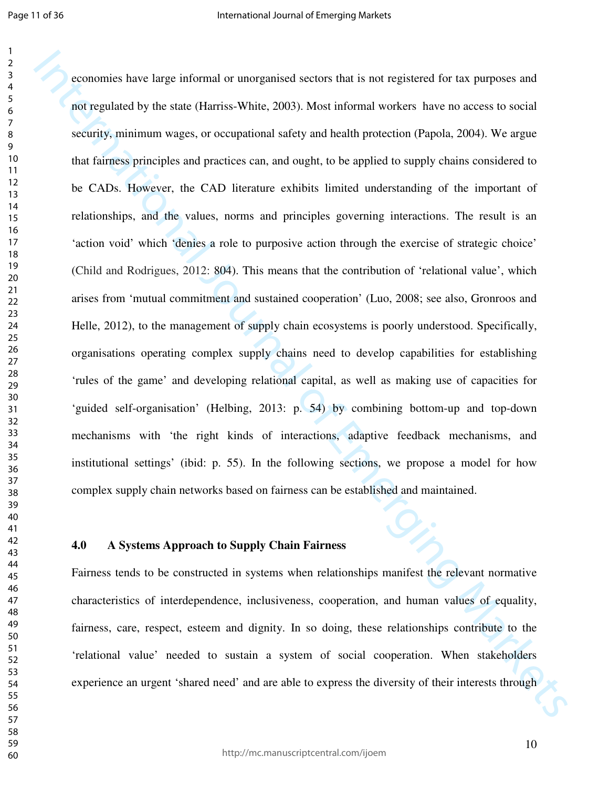isomonias have large informal or unorganised sectors that is not registered for tax parposes and<br>not regulated by the star (Harriss White, 2003). Most informal series show a cocares to social<br>security, minimum wages, or o economies have large informal or unorganised sectors that is not registered for tax purposes and not regulated by the state (Harriss-White, 2003). Most informal workers have no access to social security, minimum wages, or occupational safety and health protection (Papola, 2004). We argue that fairness principles and practices can, and ought, to be applied to supply chains considered to be CADs. However, the CAD literature exhibits limited understanding of the important of relationships, and the values, norms and principles governing interactions. The result is an 'action void' which 'denies a role to purposive action through the exercise of strategic choice' (Child and Rodrigues, 2012: 804). This means that the contribution of 'relational value', which arises from 'mutual commitment and sustained cooperation' (Luo, 2008; see also, Gronroos and Helle, 2012), to the management of supply chain ecosystems is poorly understood. Specifically, organisations operating complex supply chains need to develop capabilities for establishing 'rules of the game' and developing relational capital, as well as making use of capacities for 'guided self-organisation' (Helbing, 2013: p. 54) by combining bottom-up and top-down mechanisms with 'the right kinds of interactions, adaptive feedback mechanisms, and institutional settings' (ibid: p. 55). In the following sections, we propose a model for how complex supply chain networks based on fairness can be established and maintained.

#### **4.0 A Systems Approach to Supply Chain Fairness**

Fairness tends to be constructed in systems when relationships manifest the relevant normative characteristics of interdependence, inclusiveness, cooperation, and human values of equality, fairness, care, respect, esteem and dignity. In so doing, these relationships contribute to the 'relational value' needed to sustain a system of social cooperation. When stakeholders experience an urgent 'shared need' and are able to express the diversity of their interests through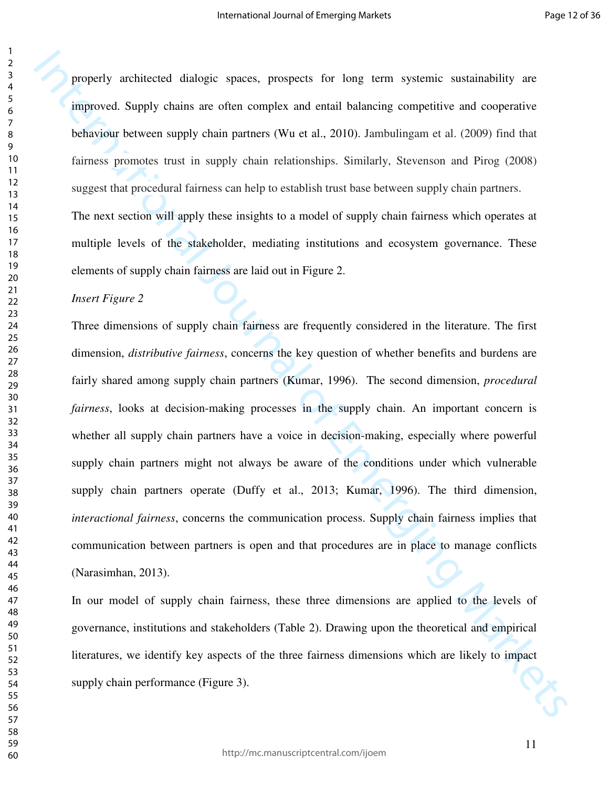properly architected dialogic spaces, prospects for long term systemic sustainability are improved. Supply chains are often complex and entail balancing competitive and cooperative behaviour between supply chain partners (Wu et al., 2010). Jambulingam et al. (2009) find that fairness promotes trust in supply chain relationships. Similarly, Stevenson and Pirog (2008) suggest that procedural fairness can help to establish trust base between supply chain partners. The next section will apply these insights to a model of supply chain fairness which operates at multiple levels of the stakeholder, mediating institutions and ecosystem governance. These

elements of supply chain fairness are laid out in Figure 2.

*Insert Figure 2* 

properly architected dialogic spaces, prospects for long term systemic sustainability are improved. Supply chains are often complets and entail balancing computitive and compensive behaviour between supply chain partners Three dimensions of supply chain fairness are frequently considered in the literature. The first dimension, *distributive fairness*, concerns the key question of whether benefits and burdens are fairly shared among supply chain partners (Kumar, 1996). The second dimension, *procedural fairness*, looks at decision-making processes in the supply chain. An important concern is whether all supply chain partners have a voice in decision-making, especially where powerful supply chain partners might not always be aware of the conditions under which vulnerable supply chain partners operate (Duffy et al., 2013; Kumar, 1996). The third dimension, *interactional fairness*, concerns the communication process. Supply chain fairness implies that communication between partners is open and that procedures are in place to manage conflicts (Narasimhan, 2013).

In our model of supply chain fairness, these three dimensions are applied to the levels of governance, institutions and stakeholders (Table 2). Drawing upon the theoretical and empirical literatures, we identify key aspects of the three fairness dimensions which are likely to impact supply chain performance (Figure 3).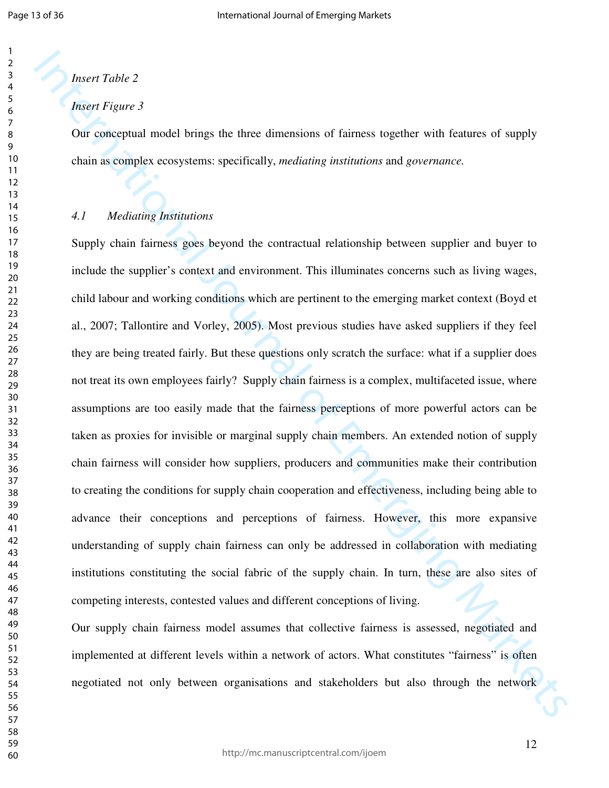#### *Insert Table 2*

#### *Insert Figure 3*

Our conceptual model brings the three dimensions of fairness together with features of supply chain as complex ecosystems: specifically, *mediating institutions* and *governance.*

#### *4.1 Mediating Institutions*

*Internalise 2*<br> *Internalise 2*<br> *Internalise 2*<br> *Internalise 2*<br> *Dar conceptual model brings the three dimensions of fairness rogether with features of supply<br>
chain as example concystems: specifically, mediatively in* Supply chain fairness goes beyond the contractual relationship between supplier and buyer to include the supplier's context and environment. This illuminates concerns such as living wages, child labour and working conditions which are pertinent to the emerging market context (Boyd et al., 2007; Tallontire and Vorley, 2005). Most previous studies have asked suppliers if they feel they are being treated fairly. But these questions only scratch the surface: what if a supplier does not treat its own employees fairly? Supply chain fairness is a complex, multifaceted issue, where assumptions are too easily made that the fairness perceptions of more powerful actors can be taken as proxies for invisible or marginal supply chain members. An extended notion of supply chain fairness will consider how suppliers, producers and communities make their contribution to creating the conditions for supply chain cooperation and effectiveness, including being able to advance their conceptions and perceptions of fairness. However, this more expansive understanding of supply chain fairness can only be addressed in collaboration with mediating institutions constituting the social fabric of the supply chain. In turn, these are also sites of competing interests, contested values and different conceptions of living.

Our supply chain fairness model assumes that collective fairness is assessed, negotiated and implemented at different levels within a network of actors. What constitutes "fairness" is often negotiated not only between organisations and stakeholders but also through the network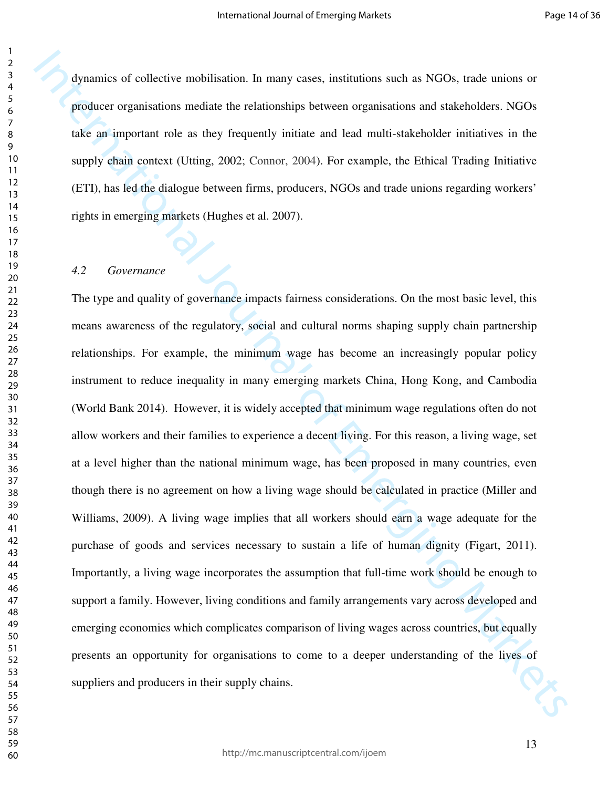dynamics of collective mobilisation. In many cases, institutions such as NGOs, trade unions or producer organisations mediate the relationships between organisations and stakeholders. NGOs take an important role as they frequently initiate and lead multi-stakeholder initiatives in the supply chain context (Utting, 2002; Connor, 2004). For example, the Ethical Trading Initiative (ETI), has led the dialogue between firms, producers, NGOs and trade unions regarding workers' rights in emerging markets (Hughes et al. 2007).

#### *4.2 Governance*

dynamics of collective mobilisation. In many cases, institutions such as NGOs, trade unions or producer inguistions molekule the relationships between organisations and stakeholders. NGOs trake an important role as they f The type and quality of governance impacts fairness considerations. On the most basic level, this means awareness of the regulatory, social and cultural norms shaping supply chain partnership relationships. For example, the minimum wage has become an increasingly popular policy instrument to reduce inequality in many emerging markets China, Hong Kong, and Cambodia (World Bank 2014). However, it is widely accepted that minimum wage regulations often do not allow workers and their families to experience a decent living. For this reason, a living wage, set at a level higher than the national minimum wage, has been proposed in many countries, even though there is no agreement on how a living wage should be calculated in practice (Miller and Williams, 2009). A living wage implies that all workers should earn a wage adequate for the purchase of goods and services necessary to sustain a life of human dignity (Figart, 2011). Importantly, a living wage incorporates the assumption that full-time work should be enough to support a family. However, living conditions and family arrangements vary across developed and emerging economies which complicates comparison of living wages across countries, but equally presents an opportunity for organisations to come to a deeper understanding of the lives of suppliers and producers in their supply chains.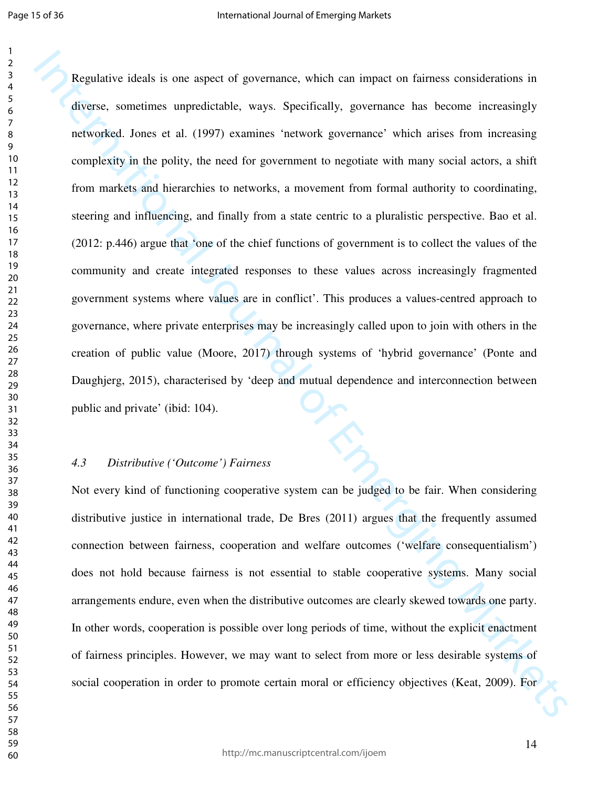Regalative ideals is one aspect of governance, which an impact on faincest considerations in divisors, equations to merginal of the production and the production is a specifically, governance has become increasingly netwo Regulative ideals is one aspect of governance, which can impact on fairness considerations in diverse, sometimes unpredictable, ways. Specifically, governance has become increasingly networked. Jones et al. (1997) examines 'network governance' which arises from increasing complexity in the polity, the need for government to negotiate with many social actors, a shift from markets and hierarchies to networks, a movement from formal authority to coordinating, steering and influencing, and finally from a state centric to a pluralistic perspective. Bao et al. (2012: p.446) argue that 'one of the chief functions of government is to collect the values of the community and create integrated responses to these values across increasingly fragmented government systems where values are in conflict'. This produces a values-centred approach to governance, where private enterprises may be increasingly called upon to join with others in the creation of public value (Moore, 2017) through systems of 'hybrid governance' (Ponte and Daughjerg, 2015), characterised by 'deep and mutual dependence and interconnection between public and private' (ibid: 104).

#### *4.3 Distributive ('Outcome') Fairness*

Not every kind of functioning cooperative system can be judged to be fair. When considering distributive justice in international trade, De Bres (2011) argues that the frequently assumed connection between fairness, cooperation and welfare outcomes ('welfare consequentialism') does not hold because fairness is not essential to stable cooperative systems. Many social arrangements endure, even when the distributive outcomes are clearly skewed towards one party. In other words, cooperation is possible over long periods of time, without the explicit enactment of fairness principles. However, we may want to select from more or less desirable systems of social cooperation in order to promote certain moral or efficiency objectives (Keat, 2009). For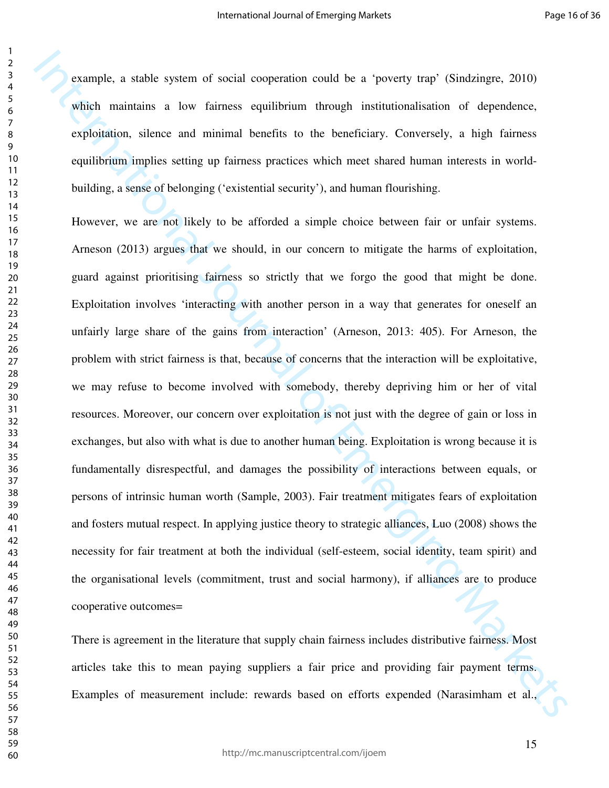example, a stable system of social cooperation could be a 'poverty trap' (Sindzingre, 2010) which maintains a low fairness equilibrium through institutionalisation of dependence, exploitation, silence and minimal benefits to the beneficiary. Conversely, a high fairness equilibrium implies setting up fairness practices which meet shared human interests in worldbuilding, a sense of belonging ('existential security'), and human flourishing.

Example, a stable system of social economion could be a 'powerty trap' (Sindzinge, 2010) which maintains a low fairmess equilibrium theoretic incredibilitation of dependence, exploration, silence and minimal benefits to t However, we are not likely to be afforded a simple choice between fair or unfair systems. Arneson (2013) argues that we should, in our concern to mitigate the harms of exploitation, guard against prioritising fairness so strictly that we forgo the good that might be done. Exploitation involves 'interacting with another person in a way that generates for oneself an unfairly large share of the gains from interaction' (Arneson, 2013: 405). For Arneson, the problem with strict fairness is that, because of concerns that the interaction will be exploitative, we may refuse to become involved with somebody, thereby depriving him or her of vital resources. Moreover, our concern over exploitation is not just with the degree of gain or loss in exchanges, but also with what is due to another human being. Exploitation is wrong because it is fundamentally disrespectful, and damages the possibility of interactions between equals, or persons of intrinsic human worth (Sample, 2003). Fair treatment mitigates fears of exploitation and fosters mutual respect. In applying justice theory to strategic alliances, Luo (2008) shows the necessity for fair treatment at both the individual (self-esteem, social identity, team spirit) and the organisational levels (commitment, trust and social harmony), if alliances are to produce cooperative outcomes=

There is agreement in the literature that supply chain fairness includes distributive fairness. Most articles take this to mean paying suppliers a fair price and providing fair payment terms. Examples of measurement include: rewards based on efforts expended (Narasimham et al.,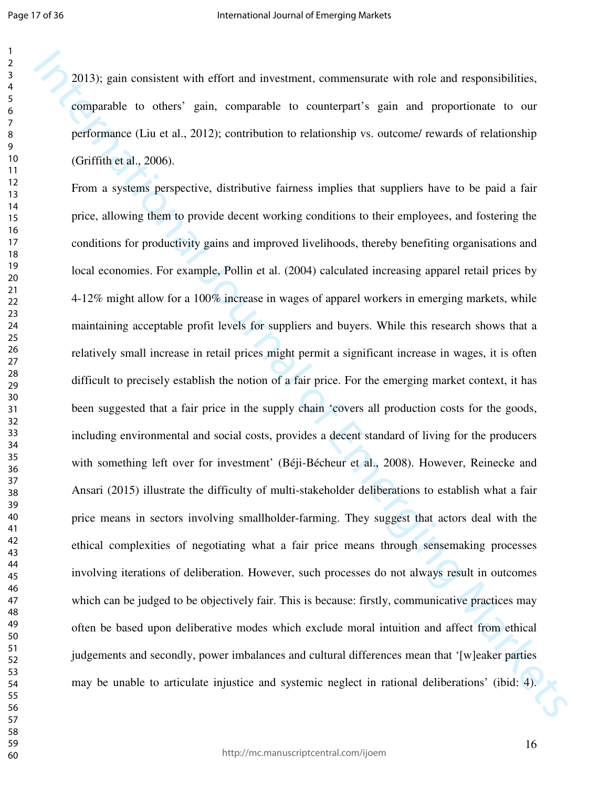2013); gain consistent with effort and investment, commensurate with role and responsibilities, comparable to others' gain, comparable to counterpart's gain and proportionate to our performance (Liu et al., 2012); contribution to relationship vs. outcome/ rewards of relationship (Griffith et al., 2006).

2013): gain consistent with effort and investment, commensurate with role and responsibilities, comparable to other  $\gamma$  gain, comparable to contempant's gain and proportionate to current<br>performance (Liu et al., 2012): c From a systems perspective, distributive fairness implies that suppliers have to be paid a fair price, allowing them to provide decent working conditions to their employees, and fostering the conditions for productivity gains and improved livelihoods, thereby benefiting organisations and local economies. For example, Pollin et al. (2004) calculated increasing apparel retail prices by 4-12% might allow for a 100% increase in wages of apparel workers in emerging markets, while maintaining acceptable profit levels for suppliers and buyers. While this research shows that a relatively small increase in retail prices might permit a significant increase in wages, it is often difficult to precisely establish the notion of a fair price. For the emerging market context, it has been suggested that a fair price in the supply chain 'covers all production costs for the goods, including environmental and social costs, provides a decent standard of living for the producers with something left over for investment' (Béji-Bécheur et al., 2008). However, Reinecke and Ansari (2015) illustrate the difficulty of multi-stakeholder deliberations to establish what a fair price means in sectors involving smallholder-farming. They suggest that actors deal with the ethical complexities of negotiating what a fair price means through sensemaking processes involving iterations of deliberation. However, such processes do not always result in outcomes which can be judged to be objectively fair. This is because: firstly, communicative practices may often be based upon deliberative modes which exclude moral intuition and affect from ethical judgements and secondly, power imbalances and cultural differences mean that '[w]eaker parties may be unable to articulate injustice and systemic neglect in rational deliberations' (ibid: 4).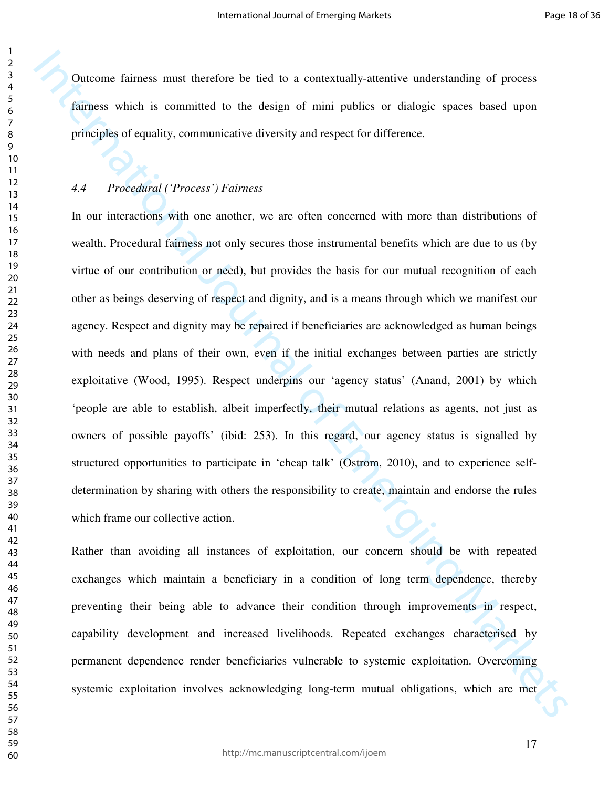Outcome fairness must therefore be tied to a contextually-attentive understanding of process fairness which is committed to the design of mini publics or dialogic spaces based upon principles of equality, communicative diversity and respect for difference.

#### *4.4 Procedural ('Process') Fairness*

Dutcome faintess must therefore be tied to a contextually-sitentive understanding of process<br>fainness which is committed to be design of unit publics or dialogic spaces has<br>ed upon<br>principles of ceaulity, communicative di In our interactions with one another, we are often concerned with more than distributions of wealth. Procedural fairness not only secures those instrumental benefits which are due to us (by virtue of our contribution or need), but provides the basis for our mutual recognition of each other as beings deserving of respect and dignity, and is a means through which we manifest our agency. Respect and dignity may be repaired if beneficiaries are acknowledged as human beings with needs and plans of their own, even if the initial exchanges between parties are strictly exploitative (Wood, 1995). Respect underpins our 'agency status' (Anand, 2001) by which 'people are able to establish, albeit imperfectly, their mutual relations as agents, not just as owners of possible payoffs' (ibid: 253). In this regard, our agency status is signalled by structured opportunities to participate in 'cheap talk' (Ostrom, 2010), and to experience selfdetermination by sharing with others the responsibility to create, maintain and endorse the rules which frame our collective action.

Rather than avoiding all instances of exploitation, our concern should be with repeated exchanges which maintain a beneficiary in a condition of long term dependence, thereby preventing their being able to advance their condition through improvements in respect, capability development and increased livelihoods. Repeated exchanges characterised by permanent dependence render beneficiaries vulnerable to systemic exploitation. Overcoming systemic exploitation involves acknowledging long-term mutual obligations, which are met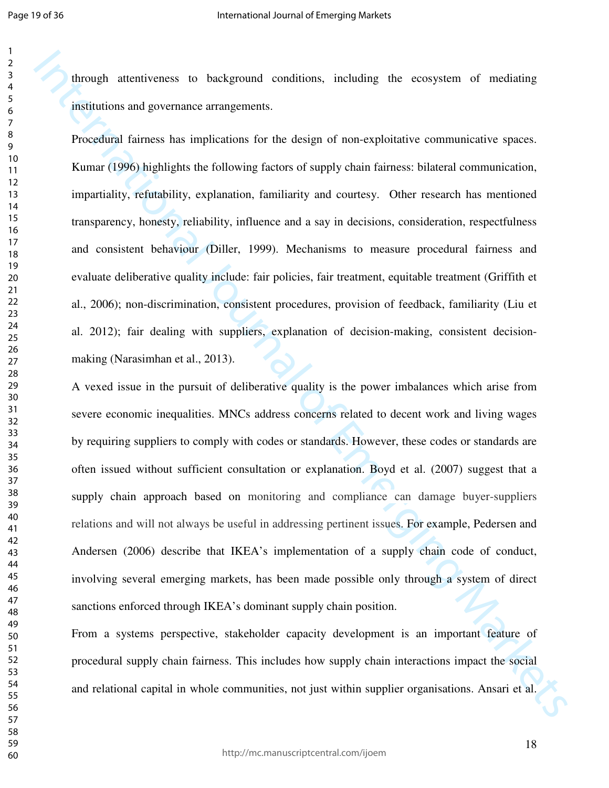through attentiveness to background conditions, including the ecosystem of mediating institutions and governance arrangements.

Procedural fairness has implications for the design of non-exploitative communicative spaces. Kumar (1996) highlights the following factors of supply chain fairness: bilateral communication, impartiality, refutability, explanation, familiarity and courtesy. Other research has mentioned transparency, honesty, reliability, influence and a say in decisions, consideration, respectfulness and consistent behaviour (Diller, 1999). Mechanisms to measure procedural fairness and evaluate deliberative quality include: fair policies, fair treatment, equitable treatment (Griffith et al., 2006); non-discrimination, consistent procedures, provision of feedback, familiarity (Liu et al. 2012); fair dealing with suppliers, explanation of decision-making, consistent decisionmaking (Narasimhan et al., 2013).

Through attentiveness to hackground conditions, including the consystem of mediating<br>
institutions and governance: arrangements.<br>
Procedural fairness has implications for the design of non-exploitantic communicative spaces A vexed issue in the pursuit of deliberative quality is the power imbalances which arise from severe economic inequalities. MNCs address concerns related to decent work and living wages by requiring suppliers to comply with codes or standards. However, these codes or standards are often issued without sufficient consultation or explanation. Boyd et al. (2007) suggest that a supply chain approach based on monitoring and compliance can damage buyer-suppliers relations and will not always be useful in addressing pertinent issues. For example, Pedersen and Andersen (2006) describe that IKEA's implementation of a supply chain code of conduct, involving several emerging markets, has been made possible only through a system of direct sanctions enforced through IKEA's dominant supply chain position.

From a systems perspective, stakeholder capacity development is an important feature of procedural supply chain fairness. This includes how supply chain interactions impact the social and relational capital in whole communities, not just within supplier organisations. Ansari et al.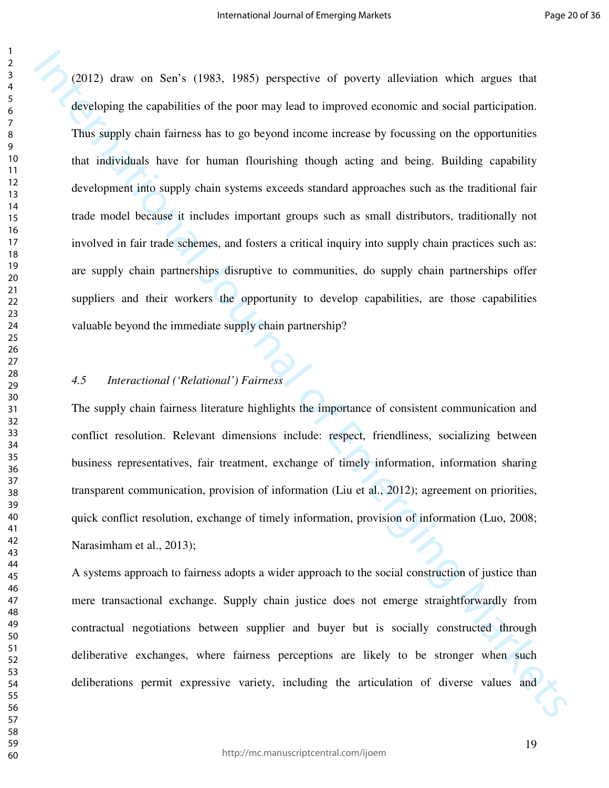12012) draw on Sen's (1983, 1985) perspective of poverty alleviation which appass that diveloping the expatitions of the poor may lead to improved economic and social participation.<br>Thus supply chain failness has to go be (2012) draw on Sen's (1983, 1985) perspective of poverty alleviation which argues that developing the capabilities of the poor may lead to improved economic and social participation. Thus supply chain fairness has to go beyond income increase by focussing on the opportunities that individuals have for human flourishing though acting and being. Building capability development into supply chain systems exceeds standard approaches such as the traditional fair trade model because it includes important groups such as small distributors, traditionally not involved in fair trade schemes, and fosters a critical inquiry into supply chain practices such as: are supply chain partnerships disruptive to communities, do supply chain partnerships offer suppliers and their workers the opportunity to develop capabilities, are those capabilities valuable beyond the immediate supply chain partnership?

#### *4.5 Interactional ('Relational') Fairness*

The supply chain fairness literature highlights the importance of consistent communication and conflict resolution. Relevant dimensions include: respect, friendliness, socializing between business representatives, fair treatment, exchange of timely information, information sharing transparent communication, provision of information (Liu et al., 2012); agreement on priorities, quick conflict resolution, exchange of timely information, provision of information (Luo, 2008; Narasimham et al., 2013);

A systems approach to fairness adopts a wider approach to the social construction of justice than mere transactional exchange. Supply chain justice does not emerge straightforwardly from contractual negotiations between supplier and buyer but is socially constructed through deliberative exchanges, where fairness perceptions are likely to be stronger when such deliberations permit expressive variety, including the articulation of diverse values and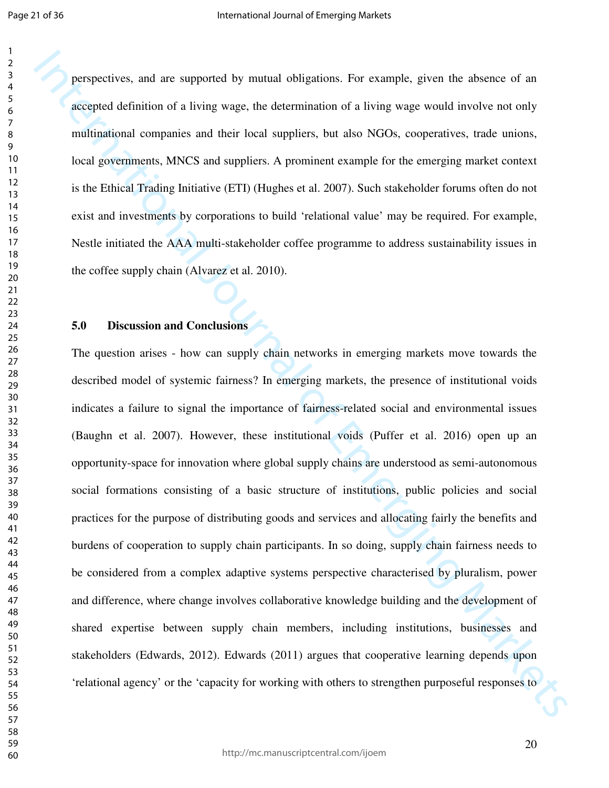perspectives, and are supported by mutual obligations. For example, given the absence of an accepted definition of a living wage, the determination of a living wage would involve not only multinational companies and their local suppliers, but also NGOs, cooperatives, trade unions, local governments, MNCS and suppliers. A prominent example for the emerging market context is the Ethical Trading Initiative (ETI) (Hughes et al. 2007). Such stakeholder forums often do not exist and investments by corporations to build 'relational value' may be required. For example, Nestle initiated the AAA multi-stakeholder coffee programme to address sustainability issues in the coffee supply chain (Alvarez et al. 2010).

#### **5.0 Discussion and Conclusions**

perspectives, and are supported by mutual obligations. For example, given the absence of an accepted definition of a living wage, the identmination of a living wage would involve out only multipational companies and their The question arises - how can supply chain networks in emerging markets move towards the described model of systemic fairness? In emerging markets, the presence of institutional voids indicates a failure to signal the importance of fairness-related social and environmental issues (Baughn et al. 2007). However, these institutional voids (Puffer et al. 2016) open up an opportunity-space for innovation where global supply chains are understood as semi-autonomous social formations consisting of a basic structure of institutions, public policies and social practices for the purpose of distributing goods and services and allocating fairly the benefits and burdens of cooperation to supply chain participants. In so doing, supply chain fairness needs to be considered from a complex adaptive systems perspective characterised by pluralism, power and difference, where change involves collaborative knowledge building and the development of shared expertise between supply chain members, including institutions, businesses and stakeholders (Edwards, 2012). Edwards (2011) argues that cooperative learning depends upon 'relational agency' or the 'capacity for working with others to strengthen purposeful responses to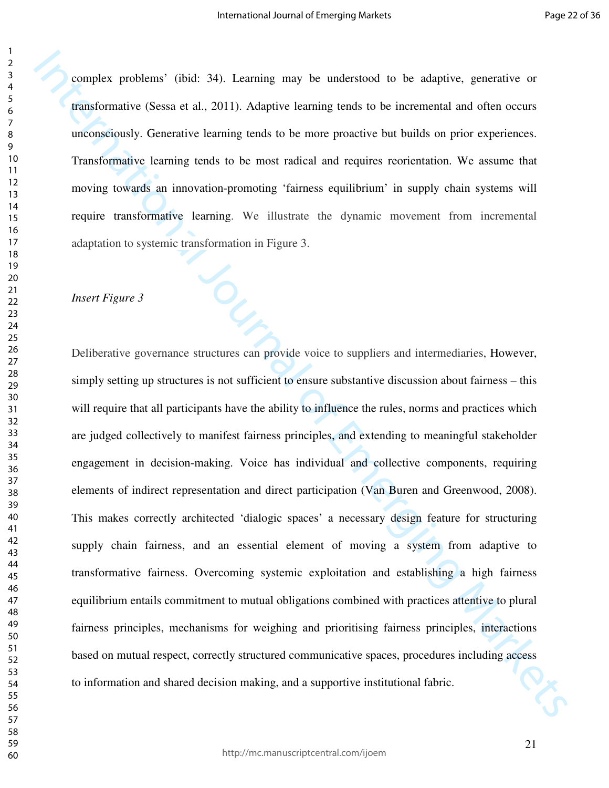complex problems' (ibid: 34). Learning may be understood to be adaptive, generative or transformative (Sessa et al., 2011). Adaptive learning tends to be incremental and often occurs unconsciously. Generative learning tends to be more proactive but builds on prior experiences. Transformative learning tends to be most radical and requires reorientation. We assume that moving towards an innovation-promoting 'fairness equilibrium' in supply chain systems will require transformative learning. We illustrate the dynamic movement from incremental adaptation to systemic transformation in Figure 3.

#### *Insert Figure 3*

complex problems' (ibid: 34). Learning may be understood to be adaptive, generative or praisdimentive (Sessa et al., 2011). Adaptive learning touls to be incremental and often occurs<br>unconsidently. Generative learning ten Deliberative governance structures can provide voice to suppliers and intermediaries, However, simply setting up structures is not sufficient to ensure substantive discussion about fairness – this will require that all participants have the ability to influence the rules, norms and practices which are judged collectively to manifest fairness principles, and extending to meaningful stakeholder engagement in decision-making. Voice has individual and collective components, requiring elements of indirect representation and direct participation (Van Buren and Greenwood, 2008). This makes correctly architected 'dialogic spaces' a necessary design feature for structuring supply chain fairness, and an essential element of moving a system from adaptive to transformative fairness. Overcoming systemic exploitation and establishing a high fairness equilibrium entails commitment to mutual obligations combined with practices attentive to plural fairness principles, mechanisms for weighing and prioritising fairness principles, interactions based on mutual respect, correctly structured communicative spaces, procedures including access to information and shared decision making, and a supportive institutional fabric.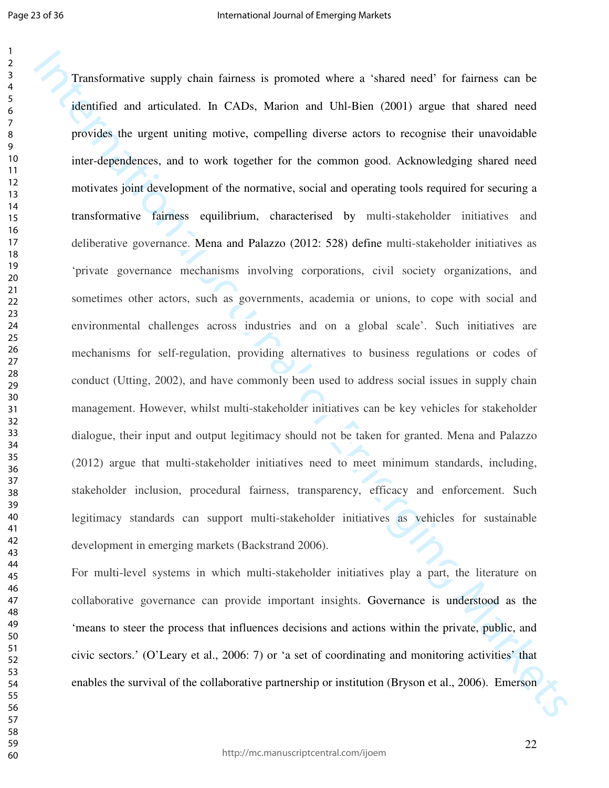Page 23 of 36

Transformative supply chain faintess is promoted where a 'shaned need' for faintess can be identified and arrivalent. In CADs, Marion and Uhl Bien (2001) argue that shared need<br>provides the urgent uniting motive, compelli Transformative supply chain fairness is promoted where a 'shared need' for fairness can be identified and articulated. In CADs, Marion and Uhl-Bien (2001) argue that shared need provides the urgent uniting motive, compelling diverse actors to recognise their unavoidable inter-dependences, and to work together for the common good. Acknowledging shared need motivates joint development of the normative, social and operating tools required for securing a transformative fairness equilibrium, characterised by multi-stakeholder initiatives and deliberative governance. Mena and Palazzo (2012: 528) define multi-stakeholder initiatives as 'private governance mechanisms involving corporations, civil society organizations, and sometimes other actors, such as governments, academia or unions, to cope with social and environmental challenges across industries and on a global scale'. Such initiatives are mechanisms for self-regulation, providing alternatives to business regulations or codes of conduct (Utting, 2002), and have commonly been used to address social issues in supply chain management. However, whilst multi-stakeholder initiatives can be key vehicles for stakeholder dialogue, their input and output legitimacy should not be taken for granted. Mena and Palazzo (2012) argue that multi-stakeholder initiatives need to meet minimum standards, including, stakeholder inclusion, procedural fairness, transparency, efficacy and enforcement. Such legitimacy standards can support multi-stakeholder initiatives as vehicles for sustainable development in emerging markets (Backstrand 2006).

For multi-level systems in which multi-stakeholder initiatives play a part, the literature on collaborative governance can provide important insights. Governance is understood as the 'means to steer the process that influences decisions and actions within the private, public, and civic sectors.' (O'Leary et al., 2006: 7) or 'a set of coordinating and monitoring activities' that enables the survival of the collaborative partnership or institution (Bryson et al., 2006). Emerson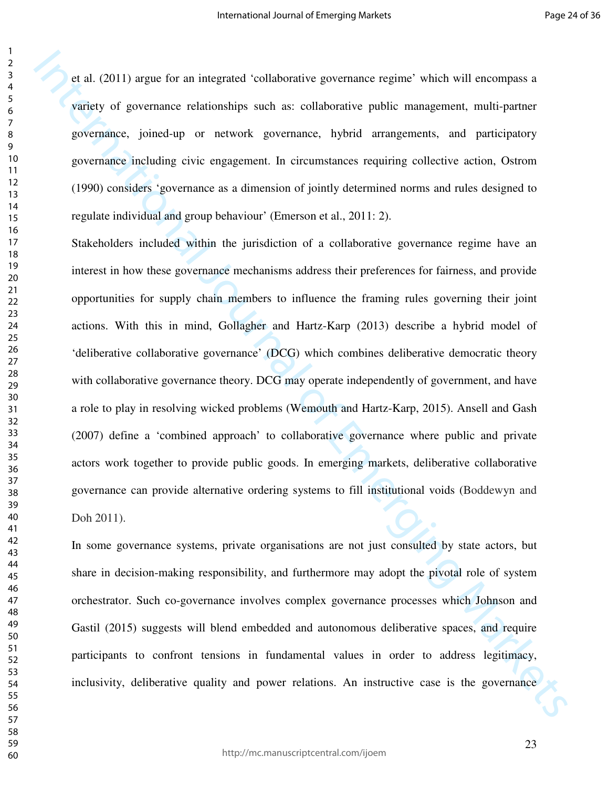et al. (2011) argue for an integrated 'collaborative governance regime' which will encompass a variety of governance relationships such as: collaborative public management, multi-partner governance, joined-up or network governance, hybrid arrangements, and participatory governance including civic engagement. In circumstances requiring collective action, Ostrom (1990) considers 'governance as a dimension of jointly determined norms and rules designed to regulate individual and group behaviour' (Emerson et al., 2011: 2).

et al. (2011) argue for an integrated 'onlaborative governance expine' which will one<br>organize sprints of government relationships such as: catholarative pablic management, multi-partner<br>governance, joined-up or network Stakeholders included within the jurisdiction of a collaborative governance regime have an interest in how these governance mechanisms address their preferences for fairness, and provide opportunities for supply chain members to influence the framing rules governing their joint actions. With this in mind, Gollagher and Hartz-Karp (2013) describe a hybrid model of 'deliberative collaborative governance' (DCG) which combines deliberative democratic theory with collaborative governance theory. DCG may operate independently of government, and have a role to play in resolving wicked problems (Wemouth and Hartz-Karp, 2015). Ansell and Gash (2007) define a 'combined approach' to collaborative governance where public and private actors work together to provide public goods. In emerging markets, deliberative collaborative governance can provide alternative ordering systems to fill institutional voids (Boddewyn and Doh 2011).

In some governance systems, private organisations are not just consulted by state actors, but share in decision-making responsibility, and furthermore may adopt the pivotal role of system orchestrator. Such co-governance involves complex governance processes which Johnson and Gastil (2015) suggests will blend embedded and autonomous deliberative spaces, and require participants to confront tensions in fundamental values in order to address legitimacy, inclusivity, deliberative quality and power relations. An instructive case is the governance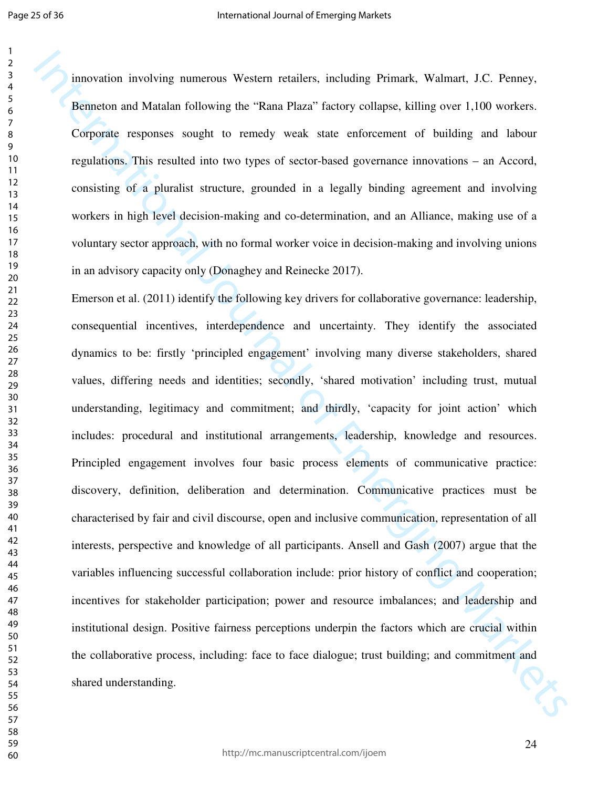innovation involving numerous Western retailers, including Primark, Walmart, J.C. Penney, Benneton and Matalan following the "Rana Plaza" factory collapse, killing over 1,100 workers. Corporate responses sought to remedy weak state enforcement of building and labour regulations. This resulted into two types of sector-based governance innovations – an Accord, consisting of a pluralist structure, grounded in a legally binding agreement and involving workers in high level decision-making and co-determination, and an Alliance, making use of a voluntary sector approach, with no formal worker voice in decision-making and involving unions in an advisory capacity only (Donaghey and Reinecke 2017).

Innovation involving numerous Western retailers, including Primark. Walmart, J.C. Penney, Reinneton and Matalan fulltowing the "Rana Plaza" factory cultiples, killing over 1,100 worker. Conjegate responses sought to remod Emerson et al. (2011) identify the following key drivers for collaborative governance: leadership, consequential incentives, interdependence and uncertainty. They identify the associated dynamics to be: firstly 'principled engagement' involving many diverse stakeholders, shared values, differing needs and identities; secondly, 'shared motivation' including trust, mutual understanding, legitimacy and commitment; and thirdly, 'capacity for joint action' which includes: procedural and institutional arrangements, leadership, knowledge and resources. Principled engagement involves four basic process elements of communicative practice: discovery, definition, deliberation and determination. Communicative practices must be characterised by fair and civil discourse, open and inclusive communication, representation of all interests, perspective and knowledge of all participants. Ansell and Gash (2007) argue that the variables influencing successful collaboration include: prior history of conflict and cooperation; incentives for stakeholder participation; power and resource imbalances; and leadership and institutional design. Positive fairness perceptions underpin the factors which are crucial within the collaborative process, including: face to face dialogue; trust building; and commitment and shared understanding.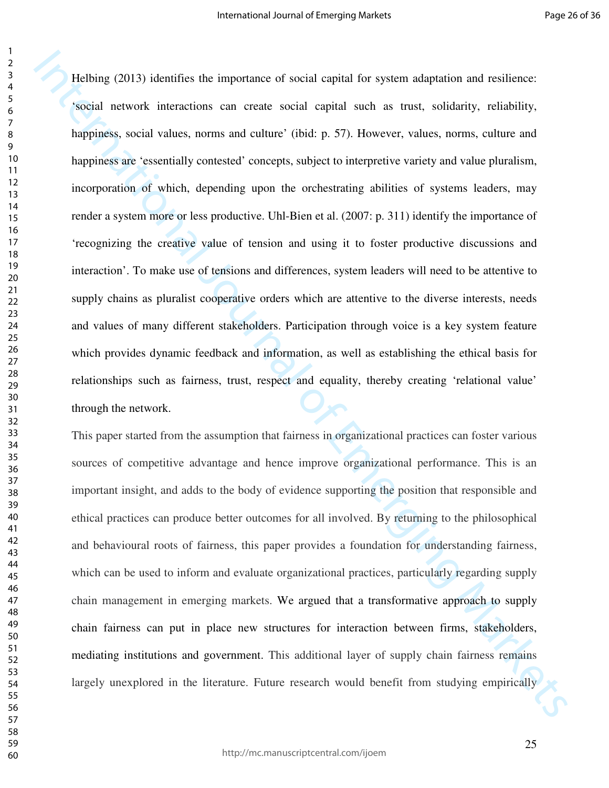Helbing (2013) identifies the importance of social explat for system adaptation and estilistics:<br>Social network interactions can create social explat such as more, solidarity, reliability,<br>happiness social values, norms an Helbing (2013) identifies the importance of social capital for system adaptation and resilience: 'social network interactions can create social capital such as trust, solidarity, reliability, happiness, social values, norms and culture' (ibid: p. 57). However, values, norms, culture and happiness are 'essentially contested' concepts, subject to interpretive variety and value pluralism, incorporation of which, depending upon the orchestrating abilities of systems leaders, may render a system more or less productive. Uhl-Bien et al. (2007: p. 311) identify the importance of 'recognizing the creative value of tension and using it to foster productive discussions and interaction'. To make use of tensions and differences, system leaders will need to be attentive to supply chains as pluralist cooperative orders which are attentive to the diverse interests, needs and values of many different stakeholders. Participation through voice is a key system feature which provides dynamic feedback and information, as well as establishing the ethical basis for relationships such as fairness, trust, respect and equality, thereby creating 'relational value' through the network.

This paper started from the assumption that fairness in organizational practices can foster various sources of competitive advantage and hence improve organizational performance. This is an important insight, and adds to the body of evidence supporting the position that responsible and ethical practices can produce better outcomes for all involved. By returning to the philosophical and behavioural roots of fairness, this paper provides a foundation for understanding fairness, which can be used to inform and evaluate organizational practices, particularly regarding supply chain management in emerging markets. We argued that a transformative approach to supply chain fairness can put in place new structures for interaction between firms, stakeholders, mediating institutions and government. This additional layer of supply chain fairness remains largely unexplored in the literature. Future research would benefit from studying empirically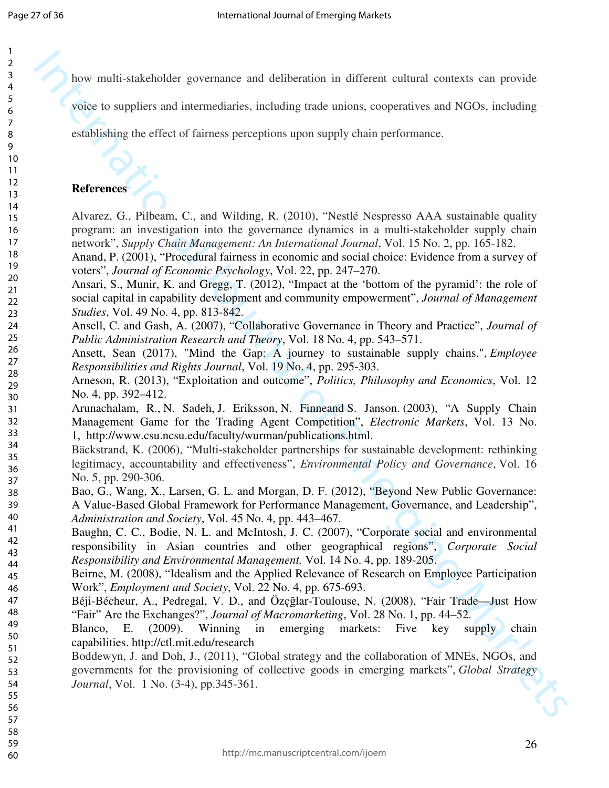how multi-stakeholder governance and deliberation in different cultural contexts can provide

voice to suppliers and intermediaries, including trade unions, cooperatives and NGOs, including

establishing the effect of fairness perceptions upon supply chain performance.

#### **References**

Alvarez, G., Pilbeam, C., and Wilding, R. (2010), "Nestlé Nespresso AAA sustainable quality program: an investigation into the governance dynamics in a multi-stakeholder supply chain network", *Supply Chain Management: An International Journal*, Vol. 15 No. 2, pp. 165-182.

Anand, P. (2001), "Procedural fairness in economic and social choice: Evidence from a survey of voters", *Journal of Economic Psychology*, Vol. 22, pp. 247–270.

Ansari, S., Munir, K. and Gregg, T. (2012), "Impact at the 'bottom of the pyramid': the role of social capital in capability development and community empowerment", *Journal of Management Studies*, Vol. 49 No. 4, pp. 813-842.

Ansell, C. and Gash, A. (2007), "Collaborative Governance in Theory and Practice", *Journal of Public Administration Research and Theory*, Vol. 18 No. 4, pp. 543–571.

Ansett, Sean (2017), "Mind the Gap: A journey to sustainable supply chains.", *Employee Responsibilities and Rights Journal*, Vol. 19 No. 4, pp. 295-303.

Arneson, R. (2013), "Exploitation and outcome", *Politics, Philosophy and Economics*, Vol. 12 No. 4, pp. 392–412.

Arunachalam, R., N. Sadeh, J. Eriksson, N. Finneand S. Janson. (2003), "A Supply Chain Management Game for the Trading Agent Competition", *Electronic Markets*, Vol. 13 No. 1, http://www.csu.ncsu.edu/faculty/wurman/publications.html.

Bäckstrand, K. (2006), "Multi-stakeholder partnerships for sustainable development: rethinking legitimacy, accountability and effectiveness", *Environmental Policy and Governance*, Vol. 16 No. 5, pp. 290-306.

Bao, G., Wang, X., Larsen, G. L. and Morgan, D. F. (2012), "Beyond New Public Governance: A Value-Based Global Framework for Performance Management, Governance, and Leadership", *Administration and Society*, Vol. 45 No. 4, pp. 443–467.

Baughn, C. C., Bodie, N. L. and McIntosh, J. C. (2007), "Corporate social and environmental responsibility in Asian countries and other geographical regions", *Corporate Social Responsibility and Environmental Management,* Vol. 14 No. 4, pp. 189-205.

Beirne, M. (2008), "Idealism and the Applied Relevance of Research on Employee Participation Work", *Employment and Society*, Vol. 22 No. 4, pp. 675-693.

Béji-Bécheur, A., Pedregal, V. D., and Özçğlar-Toulouse, N. (2008), "Fair Trade—Just How "Fair" Are the Exchanges?", *Journal of Macromarketing*, Vol. 28 No. 1, pp. 44–52.

Blanco, E. (2009). Winning in emerging markets: Five key supply chain capabilities. http://ctl.mit.edu/research

International of experiments and differentiation in different cultural contexts can provide<br>swing in organisation of the context state international of the context state internal of<br>experiments. The context of finite and Boddewyn, J. and Doh, J., (2011), "Global strategy and the collaboration of MNEs, NGOs, and governments for the provisioning of collective goods in emerging markets", *Global Strategy Journal*, Vol. 1 No. (3-4), pp.345-361.

54 55 56

57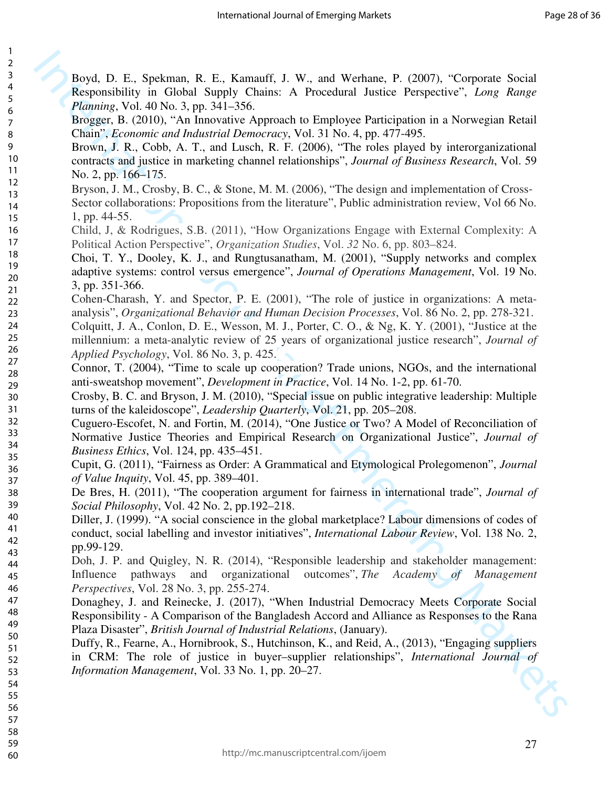Boyd, D. E., Spekman, R. E., Kamauff, J. W., and Werhane, P. (2007), "Corporate Social Responsibility in Global Supply Chains: A Procedural Justice Perspective", *Long Range* 

Brogger, B. (2010), "An Innovative Approach to Employee Participation in a Norwegian Retail

Brown, J. R., Cobb, A. T., and Lusch, R. F. (2006), "The roles played by interorganizational contracts and justice in marketing channel relationships", *Journal of Business Research*, Vol. 59

Bryson, J. M., Crosby, B. C., & Stone, M. M. (2006), "The design and implementation of Cross Sector collaborations: Propositions from the literature", Public administration review, Vol 66 No.

Child, J, & Rodrigues, S.B. (2011), "How Organizations Engage with External Complexity: A

Choi, T. Y., Dooley, K. J., and Rungtusanatham, M. (2001), "Supply networks and complex adaptive systems: control versus emergence", *Journal of Operations Management*, Vol. 19 No.

Cohen-Charash, Y. and Spector, P. E. (2001), "The role of justice in organizations: A metaanalysis", *Organizational Behavior and Human Decision Processes*, Vol. 86 No. 2, pp. 278-321. Colquitt, J. A., Conlon, D. E., Wesson, M. J., Porter, C. O., & Ng, K. Y. (2001), "Justice at the millennium: a meta-analytic review of 25 years of organizational justice research", *Journal of* 

Chain", *Economic and Industrial Democracy*, Vol. 31 No. 4, pp. 477-495.

Political Action Perspective", *Organization Studies*, Vol. *32* No. 6, pp. 803–824.

antisweatshop movement", *Development in Practice*, Vol. 14 No. 1-2, pp. 61-70.

turns of the kaleidoscope", *Leadership Quarterly*, Vol. 21, pp. 205–208.

Plaza Disaster", *British Journal of Industrial Relations*, (January).

*Information Management*, Vol. 33 No. 1, pp. 20–27.

*Planning*, Vol. 40 No. 3, pp. 341–356.

*Applied Psychology*, Vol. 86 No. 3, p. 425.

*Business Ethics*, Vol. 124, pp. 435–451.

*of Value Inquity*, Vol. 45, pp. 389–401.

*Perspectives*, Vol. 28 No. 3, pp. 255-274.

*Social Philosophy*, Vol. 42 No. 2, pp.192–218.

No. 2, pp. 166–175.

1, pp. 44-55.

3, pp. 351-366.

pp.99-129.

1  $\overline{2}$ 

58 59

60

http://mc.manuscriptcentral.com/ijoem

Reyel, D. E., Spekman, R. E., Kamanff, J. W. and Worhane, P. (2007), "Cropostac Scalal Reparenties", Long, Range Reyel, Emerging Markets, Long, Range Reyel, Emerging Markets, Long, Range Reyel, Long, Range Reyel, Comparis

Crosby, B. C. and Bryson, J. M. (2010), "Special issue on public integrative leadership: Multiple

Cuguero-Escofet, N. and Fortin, M. (2014), "One Justice or Two? A Model of Reconciliation of Normative Justice Theories and Empirical Research on Organizational Justice", *Journal of* 

Cupit, G. (2011), "Fairness as Order: A Grammatical and Etymological Prolegomenon", *Journal* 

De Bres, H. (2011), "The cooperation argument for fairness in international trade", *Journal of* 

Diller, J. (1999). "A social conscience in the global marketplace? Labour dimensions of codes of conduct, social labelling and investor initiatives", *International Labour Review*, Vol. 138 No. 2,

Doh, J. P. and Quigley, N. R. (2014), "Responsible leadership and stakeholder management: Influence pathways and organizational outcomes", *The Academy of Management* 

Donaghey, J. and Reinecke, J. (2017), "When Industrial Democracy Meets Corporate Social Responsibility - A Comparison of the Bangladesh Accord and Alliance as Responses to the Rana

Duffy, R., Fearne, A., Hornibrook, S., Hutchinson, K., and Reid, A., (2013), "Engaging suppliers in CRM: The role of justice in buyer–supplier relationships", *International Journal of* 

Connor, T. (2004), "Time to scale up cooperation? Trade unions, NGOs, and the international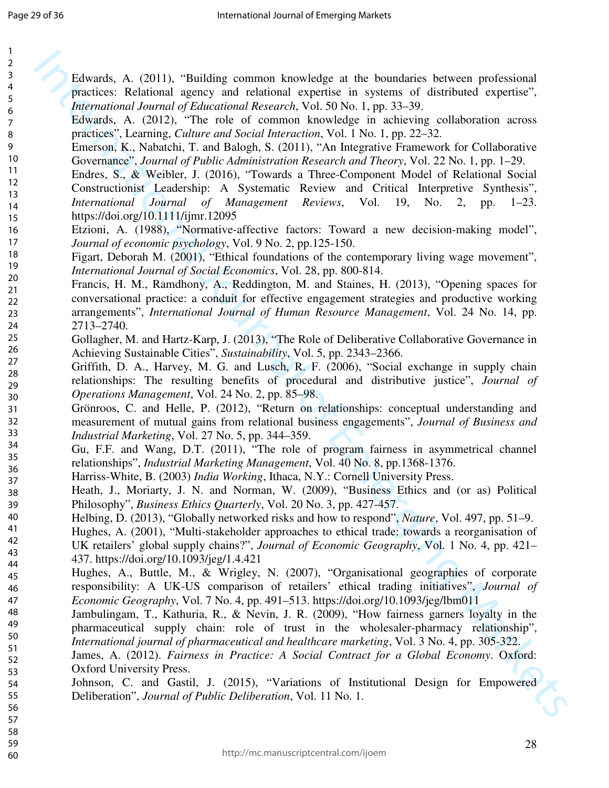| $\mathbf{1}$            |                                                                                                |
|-------------------------|------------------------------------------------------------------------------------------------|
| $\mathbf 2$             |                                                                                                |
| 3                       | Edwards, A. (2011), "Building common knowledge at the boundaries between professional          |
| $\overline{\mathbf{4}}$ | practices: Relational agency and relational expertise in systems of distributed expertise",    |
| 5                       | International Journal of Educational Research, Vol. 50 No. 1, pp. 33-39.                       |
| 6                       | Edwards, A. (2012), "The role of common knowledge in achieving collaboration across            |
| $\overline{7}$<br>8     | practices", Learning, Culture and Social Interaction, Vol. 1 No. 1, pp. 22–32.                 |
| 9                       | Emerson, K., Nabatchi, T. and Balogh, S. (2011), "An Integrative Framework for Collaborative   |
| 10                      | Governance", Journal of Public Administration Research and Theory, Vol. 22 No. 1, pp. 1–29.    |
| 11                      | Endres, S., & Weibler, J. (2016), "Towards a Three-Component Model of Relational Social        |
| 12                      | Constructionist Leadership: A Systematic Review and Critical Interpretive Synthesis",          |
| 13                      | International Journal of Management Reviews, Vol. 19, No. 2, pp.<br>$1 - 23$ .                 |
| 14                      |                                                                                                |
| 15                      | https://doi.org/10.1111/ijmr.12095                                                             |
| 16<br>17                | Etzioni, A. (1988), "Normative-affective factors: Toward a new decision-making model",         |
| 18                      | Journal of economic psychology, Vol. 9 No. 2, pp.125-150.                                      |
| 19                      | Figart, Deborah M. (2001), "Ethical foundations of the contemporary living wage movement",     |
| 20                      | International Journal of Social Economics, Vol. 28, pp. 800-814.                               |
| 21                      | Francis, H. M., Ramdhony, A., Reddington, M. and Staines, H. (2013), "Opening spaces for       |
| 22                      | conversational practice: a conduit for effective engagement strategies and productive working  |
| 23                      | arrangements", International Journal of Human Resource Management, Vol. 24 No. 14, pp.         |
| 24                      | 2713-2740.                                                                                     |
| 25<br>26                | Gollagher, M. and Hartz-Karp, J. (2013), "The Role of Deliberative Collaborative Governance in |
| 27                      | Achieving Sustainable Cities", Sustainability, Vol. 5, pp. 2343–2366.                          |
| 28                      | Griffith, D. A., Harvey, M. G. and Lusch, R. F. (2006), "Social exchange in supply chain       |
| 29                      | relationships: The resulting benefits of procedural and distributive justice", Journal of      |
| 30                      | Operations Management, Vol. 24 No. 2, pp. 85–98.                                               |
| 31                      | Grönroos, C. and Helle, P. (2012), "Return on relationships: conceptual understanding and      |
| 32                      | measurement of mutual gains from relational business engagements", Journal of Business and     |
| 33                      | Industrial Marketing, Vol. 27 No. 5, pp. 344-359.                                              |
| 34<br>35                | Gu, F.F. and Wang, D.T. (2011), "The role of program fairness in asymmetrical channel          |
| 36                      | relationships", Industrial Marketing Management, Vol. 40 No. 8, pp.1368-1376.                  |
| 37                      | Harriss-White, B. (2003) India Working, Ithaca, N.Y.: Cornell University Press.                |
| 38                      | Heath, J., Moriarty, J. N. and Norman, W. (2009), "Business Ethics and (or as) Political       |
| 39                      | Philosophy", Business Ethics Quarterly, Vol. 20 No. 3, pp. 427-457.                            |
| 40                      | Helbing, D. (2013), "Globally networked risks and how to respond", Nature, Vol. 497, pp. 51–9. |
| 41                      | Hughes, A. (2001), "Multi-stakeholder approaches to ethical trade: towards a reorganisation of |
| 42                      | UK retailers' global supply chains?", Journal of Economic Geography, Vol. 1 No. 4, pp. 421–    |
| 43<br>44                | 437. https://doi.org/10.1093/jeg/1.4.421                                                       |
| 45                      | Hughes, A., Buttle, M., & Wrigley, N. (2007), "Organisational geographies of corporate         |
| 46                      | responsibility: A UK-US comparison of retailers' ethical trading initiatives", Journal of      |
| 47                      | Economic Geography, Vol. 7 No. 4, pp. 491-513. https://doi.org/10.1093/jeg/lbm011              |
| 48                      | Jambulingam, T., Kathuria, R., & Nevin, J. R. (2009), "How fairness garners loyalty in the     |
| 49                      | pharmaceutical supply chain: role of trust in the wholesaler-pharmacy relationship",           |
| 50                      | International journal of pharmaceutical and healthcare marketing, Vol. 3 No. 4, pp. 305-322.   |
| 51                      | James, A. (2012). Fairness in Practice: A Social Contract for a Global Economy. Oxford:        |
| 52<br>53                | Oxford University Press.                                                                       |
| 54                      | Johnson, C. and Gastil, J. (2015), "Variations of Institutional Design for Empowered           |
| 55                      | Deliberation", Journal of Public Deliberation, Vol. 11 No. 1.                                  |
| 56                      |                                                                                                |
| 57                      |                                                                                                |
| 58                      |                                                                                                |
| 59                      | 28                                                                                             |

Faburets, A. (2011), "Building common knowledge at the boundaries between professional practices Relational agency and relation (1901), and the material is given as of distributed expertise. In advanta, A. (2012), "He mic practices: Relational agency and relational expertise in systems of distributed expertise", *International Journal of Educational Research*, Vol. 50 No. 1, pp. 33–39. rds, A. (2012), "The role of common knowledge in achieving collaboration across practices", Learning, *Culture and Social Interaction*, Vol. 1 No. 1, pp. 22–32. Exen, K., Nabatchi, T. and Balogh, S. (2011), "An Integrative Framework for Collaborative nance", *Journal of Public Administration Research and Theory*, Vol. 22 No. 1, pp. 1–29. s, S., & Weibler, J. (2016), "Towards a Three-Component Model of Relational Social ructionist Leadership: A Systematic Review and Critical Interpretive Synthesis", *International Journal of Management Reviews*, Vol. 19, No. 2, pp. 1–23. /doi.org/10.1111/ijmr.12095 ii, A. (1988), "Normative-affective factors: Toward a new decision-making model", al of economic psychology, Vol. 9 No. 2, pp.125-150. Deborah M. (2001), "Ethical foundations of the contemporary living wage movement", *International Journal of Social Economics*, Vol. 28, pp. 800-814. is, H. M., Ramdhony, A., Reddington, M. and Staines, H. (2013), "Opening spaces for resational practice: a conduit for effective engagement strategies and productive working ements", *International Journal of Human Resource Management*, Vol. 24 No. 14, pp. 2740. gher, M. and Hartz-Karp, J. (2013), "The Role of Deliberative Collaborative Governance in ving Sustainable Cities", *Sustainability*, Vol. 5, pp. 2343–2366. h, D. A., Harvey, M. G. and Lusch, R. F. (2006), "Social exchange in supply chain nships: The resulting benefits of procedural and distributive justice", *Journal of operations Management, Vol. 24 No. 2, pp. 85–98.* oos, C. and Helle, P. (2012), "Return on relationships: conceptual understanding and

- alingam, T., Kathuria, R., & Nevin, J. R. (2009), "How fairness garners loyalty in the aceutical supply chain: role of trust in the wholesaler-pharmacy relationship", *International journal of pharmaceutical and healthcare marketing*, Vol. 3 No. 4, pp. 305-322.
- , A. (2012). *Fairness in Practice: A Social Contract for a Global Economy*. Oxford: d University Press.
- on, C. and Gastil, J. (2015), "Variations of Institutional Design for Empowered eration", *Journal of Public Deliberation*, Vol. 11 No. 1.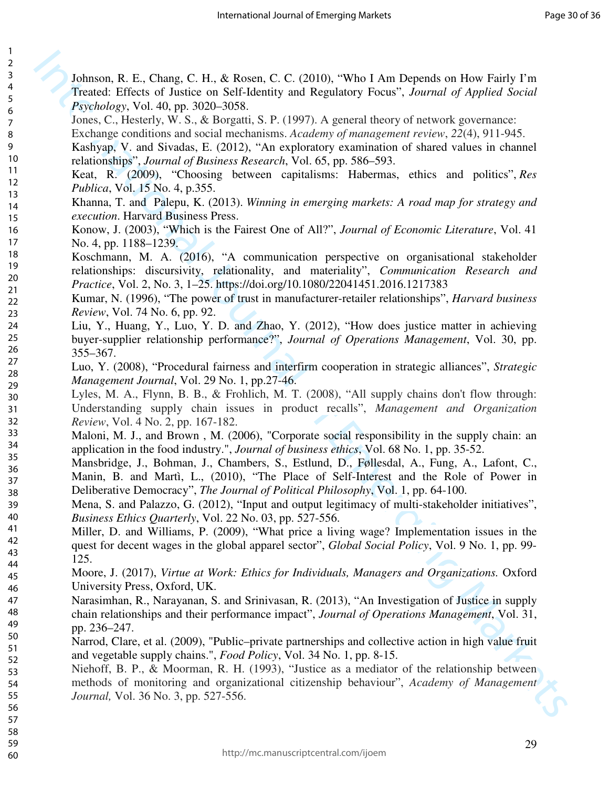| 3                             |  |
|-------------------------------|--|
|                               |  |
|                               |  |
|                               |  |
|                               |  |
|                               |  |
|                               |  |
|                               |  |
|                               |  |
|                               |  |
|                               |  |
|                               |  |
|                               |  |
|                               |  |
|                               |  |
|                               |  |
|                               |  |
|                               |  |
|                               |  |
|                               |  |
|                               |  |
|                               |  |
| 45678911111111112222222222    |  |
| 29                            |  |
|                               |  |
| $-30$ 31 32 33 34 35 36 37 38 |  |
|                               |  |
|                               |  |
|                               |  |
|                               |  |
|                               |  |
|                               |  |
| 39                            |  |
| 40                            |  |
| 41<br>42                      |  |
| 43                            |  |
| 44                            |  |
| 45                            |  |
| 46                            |  |
| 47                            |  |
| 48                            |  |
| 49<br>50                      |  |
| 51                            |  |
| 52                            |  |
| 53                            |  |
| 54                            |  |
| 55                            |  |
| 56                            |  |

1  $\overline{2}$ 

Inducen, R. E., Chung, C. H. & Rosen, C. C. (2010), "Who I Am Depends on How Fairly In True<br>And St. Effects of Justice on Scillenting and Regulatory Focus: A burnal of Applied Social<br>Jourse, C., Hestop, W. S., & Rosent, S Johnson, R. E., Chang, C. H., & Rosen, C. C. (2010), "Who I Am Depends on How Fairly I'm Treated: Effects of Justice on Self-Identity and Regulatory Focus", *Journal of Applied Social Psychology*, Vol. 40, pp. 3020–3058.

Jones, C., Hesterly, W. S., & Borgatti, S. P. (1997). A general theory of network governance:

Exchange conditions and social mechanisms. *Academy of management review*, *22*(4), 911-945.

Kashyap, V. and Sivadas, E. (2012), "An exploratory examination of shared values in channel relationships", *Journal of Business Research*, Vol. 65, pp. 586–593.

Keat, R. (2009), "Choosing between capitalisms: Habermas, ethics and politics", *Res Publica*, Vol. 15 No. 4, p.355.

Khanna, T. and Palepu, K. (2013). *Winning in emerging markets: A road map for strategy and execution*. Harvard Business Press.

Konow, J. (2003), "Which is the Fairest One of All?", *Journal of Economic Literature*, Vol. 41 No. 4, pp. 1188–1239.

Koschmann, M. A. (2016), "A communication perspective on organisational stakeholder relationships: discursivity, relationality, and materiality", *Communication Research and Practice*, Vol. 2, No. 3, 1–25. https://doi.org/10.1080/22041451.2016.1217383

Kumar, N. (1996), "The power of trust in manufacturer-retailer relationships", *Harvard business Review*, Vol. 74 No. 6, pp. 92.

Liu, Y., Huang, Y., Luo, Y. D. and Zhao, Y. (2012), "How does justice matter in achieving buyer-supplier relationship performance?", *Journal of Operations Management*, Vol. 30, pp. 355–367.

Luo, Y. (2008), "Procedural fairness and interfirm cooperation in strategic alliances", *Strategic Management Journal*, Vol. 29 No. 1, pp.27-46.

Lyles, M. A., Flynn, B. B., & Frohlich, M. T. (2008), "All supply chains don't flow through: Understanding supply chain issues in product recalls", *Management and Organization Review*, Vol. 4 No. 2, pp. 167-182.

Maloni, M. J., and Brown , M. (2006), "Corporate social responsibility in the supply chain: an application in the food industry.", *Journal of business ethics*, Vol. 68 No. 1, pp. 35-52.

Mansbridge, J., Bohman, J., Chambers, S., Estlund, D., Føllesdal, A., Fung, A., Lafont, C., Manin, B. and Martì, L., (2010), "The Place of Self-Interest and the Role of Power in Deliberative Democracy", *The Journal of Political Philosophy*, Vol. 1, pp. 64-100.

Mena, S. and Palazzo, G. (2012), "Input and output legitimacy of multi-stakeholder initiatives", *Business Ethics Quarterly*, Vol. 22 No. 03, pp. 527-556.

Miller, D. and Williams, P. (2009), "What price a living wage? Implementation issues in the quest for decent wages in the global apparel sector", *Global Social Policy*, Vol. 9 No. 1, pp. 99- 125.

Moore, J. (2017), *Virtue at Work: Ethics for Individuals, Managers and Organizations.* Oxford University Press, Oxford, UK.

Narasimhan, R., Narayanan, S. and Srinivasan, R. (2013), "An Investigation of Justice in supply chain relationships and their performance impact", *Journal of Operations Management*, Vol. 31, pp. 236–247.

Narrod, Clare, et al. (2009), "Public–private partnerships and collective action in high value fruit and vegetable supply chains.", *Food Policy*, Vol. 34 No. 1, pp. 8-15.

Niehoff, B. P., & Moorman, R. H. (1993), "Justice as a mediator of the relationship between methods of monitoring and organizational citizenship behaviour", *Academy of Management Journal,* Vol. 36 No. 3, pp. 527-556.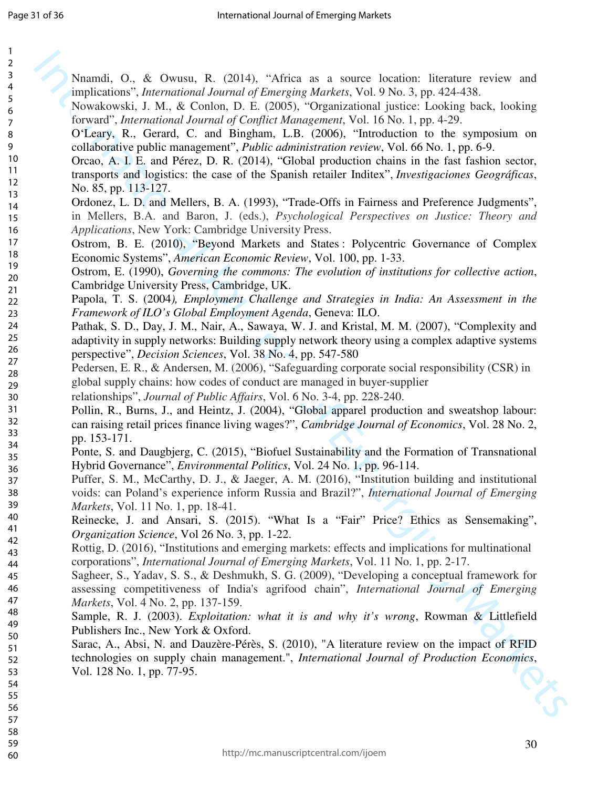| $\mathbf{1}$            |                                                                                                   |
|-------------------------|---------------------------------------------------------------------------------------------------|
| $\overline{2}$          |                                                                                                   |
| $\mathsf{3}$            | Nnamdi, O., & Owusu, R. (2014), "Africa as a source location: literature review and               |
| $\overline{\mathbf{4}}$ | implications", International Journal of Emerging Markets, Vol. 9 No. 3, pp. 424-438.              |
| 5<br>6                  | Nowakowski, J. M., & Conlon, D. E. (2005), "Organizational justice: Looking back, looking         |
| $\overline{7}$          | forward", International Journal of Conflict Management, Vol. 16 No. 1, pp. 4-29.                  |
| 8                       | O'Leary, R., Gerard, C. and Bingham, L.B. (2006), "Introduction to the symposium on               |
| 9                       | collaborative public management", <i>Public administration review</i> , Vol. 66 No. 1, pp. 6-9.   |
| $10$                    | Orcao, A. I. E. and Pérez, D. R. (2014), "Global production chains in the fast fashion sector,    |
| 11                      |                                                                                                   |
| 12                      | transports and logistics: the case of the Spanish retailer Inditex", Investigaciones Geográficas, |
| 13                      | No. 85, pp. 113-127.                                                                              |
| 14                      | Ordonez, L. D. and Mellers, B. A. (1993), "Trade-Offs in Fairness and Preference Judgments",      |
| 15                      | in Mellers, B.A. and Baron, J. (eds.), Psychological Perspectives on Justice: Theory and          |
| 16                      | Applications, New York: Cambridge University Press.                                               |
| 17                      | Ostrom, B. E. (2010), "Beyond Markets and States: Polycentric Governance of Complex               |
| 18                      | Economic Systems", American Economic Review, Vol. 100, pp. 1-33.                                  |
| 19                      | Ostrom, E. (1990), Governing the commons: The evolution of institutions for collective action,    |
| 20                      | Cambridge University Press, Cambridge, UK.                                                        |
| 21<br>22                | Papola, T. S. (2004), Employment Challenge and Strategies in India: An Assessment in the          |
| 23                      | Framework of ILO's Global Employment Agenda, Geneva: ILO.                                         |
| 24                      | Pathak, S. D., Day, J. M., Nair, A., Sawaya, W. J. and Kristal, M. M. (2007), "Complexity and     |
| 25                      | adaptivity in supply networks: Building supply network theory using a complex adaptive systems    |
| 26                      |                                                                                                   |
| 27                      | perspective", <i>Decision Sciences</i> , Vol. 38 No. 4, pp. 547-580                               |
| 28                      | Pedersen, E. R., & Andersen, M. (2006), "Safeguarding corporate social responsibility (CSR) in    |
| 29                      | global supply chains: how codes of conduct are managed in buyer-supplier                          |
| 30                      | relationships", Journal of Public Affairs, Vol. 6 No. 3-4, pp. 228-240.                           |
| 31                      | Pollin, R., Burns, J., and Heintz, J. (2004), "Global apparel production and sweatshop labour:    |
| 32                      | can raising retail prices finance living wages?", Cambridge Journal of Economics, Vol. 28 No. 2,  |
| 33                      | pp. 153-171.                                                                                      |
| 34<br>35                | Ponte, S. and Daugbjerg, C. (2015), "Biofuel Sustainability and the Formation of Transnational    |
| 36                      | Hybrid Governance", <i>Environmental Politics</i> , Vol. 24 No. 1, pp. 96-114.                    |
| 37                      | Puffer, S. M., McCarthy, D. J., & Jaeger, A. M. (2016), "Institution building and institutional   |
| 38                      | voids: can Poland's experience inform Russia and Brazil?", International Journal of Emerging      |
| 39                      | Markets, Vol. 11 No. 1, pp. 18-41.                                                                |
| 40                      | Reinecke, J. and Ansari, S. (2015). "What Is a "Fair" Price? Ethics as Sensemaking",              |
| 41                      | Organization Science, Vol 26 No. 3, pp. 1-22.                                                     |
| 42                      | Rottig, D. (2016), "Institutions and emerging markets: effects and implications for multinational |
| 43                      |                                                                                                   |
| 44                      | corporations", International Journal of Emerging Markets, Vol. 11 No. 1, pp. 2-17.                |
| 45                      | Sagheer, S., Yadav, S. S., & Deshmukh, S. G. (2009), "Developing a conceptual framework for       |
| 46                      | assessing competitiveness of India's agrifood chain", International Journal of Emerging           |
| 47                      | Markets, Vol. 4 No. 2, pp. 137-159.                                                               |
| 48<br>49                | Sample, R. J. (2003). Exploitation: what it is and why it's wrong, Rowman & Littlefield           |
| 50                      | Publishers Inc., New York & Oxford.                                                               |
| 51                      | Sarac, A., Absi, N. and Dauzère-Pérès, S. (2010), "A literature review on the impact of RFID      |
| 52                      | technologies on supply chain management.", International Journal of Production Economics,         |
| 53                      | Vol. 128 No. 1, pp. 77-95.                                                                        |
| 54                      |                                                                                                   |
| 55                      |                                                                                                   |
| 56                      |                                                                                                   |
| 57                      |                                                                                                   |
| 58                      |                                                                                                   |
| 59                      | 30                                                                                                |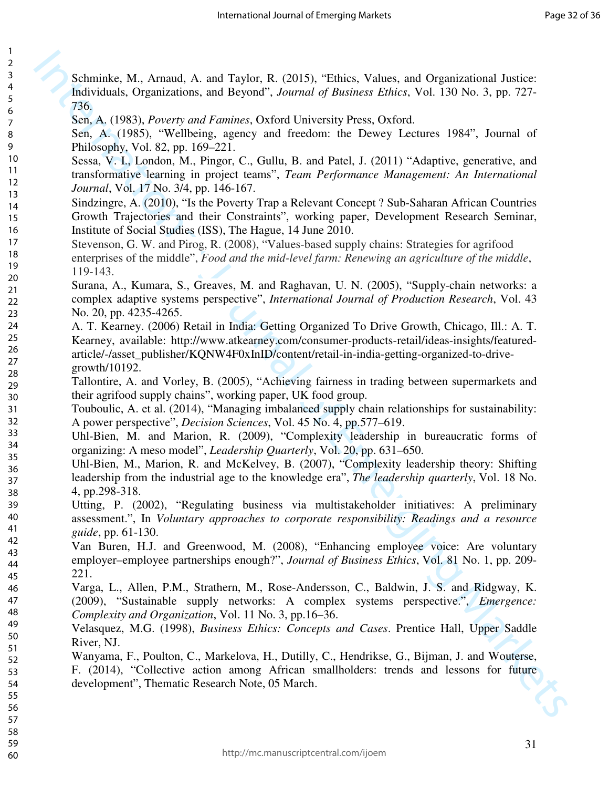> 59 60

1

Schminke, M., Arnaud, A. and Taylor, R. (2015), "Ethics, Values, and Organizational Justice: Individuals, Organizations, and Beyond", *Journal of Business Ethics*, Vol. 130 No. 3, pp. 727- 736.

Sen, A. (1983), *Poverty and Famines*, Oxford University Press, Oxford.

Sen, A. (1985), "Wellbeing, agency and freedom: the Dewey Lectures 1984", Journal of Philosophy, Vol. 82, pp. 169–221.

- Sessa, V. I., London, M., Pingor, C., Gullu, B. and Patel, J. (2011) "Adaptive, generative, and transformative learning in project teams", *Team Performance Management: An International Journal*, Vol. 17 No. 3/4, pp. 146-167.
- Sindzingre, A. (2010), "Is the Poverty Trap a Relevant Concept ? Sub-Saharan African Countries Growth Trajectories and their Constraints", working paper, Development Research Seminar, Institute of Social Studies (ISS), The Hague, 14 June 2010.
- Stevenson, G. W. and Pirog, R. (2008), "Values-based supply chains: Strategies for agrifood enterprises of the middle", *Food and the mid-level farm: Renewing an agriculture of the middle*, 119-143.
- Surana, A., Kumara, S., Greaves, M. and Raghavan, U. N. (2005), "Supply-chain networks: a complex adaptive systems perspective", *International Journal of Production Research*, Vol. 43 No. 20, pp. 4235-4265.
- Schwinkt, M., Aranad, A. and Taylor, R. (2015). "Fhies, Values, and Organizational Justices Editional A. Organizations and Beyond". Journal of Barketse Edition S. (Netto 3, 130 No. 3, pp. 727-85.5, A. (1935). "Wellbeing, A. T. Kearney. (2006) Retail in India: Getting Organized To Drive Growth, Chicago, Ill.: A. T. Kearney, available: http://www.atkearney.com/consumer-products-retail/ideas-insights/featuredarticle/-/asset\_publisher/KQNW4F0xInID/content/retail-in-india-getting-organized-to-drivegrowth/10192.
	- Tallontire, A. and Vorley, B. (2005), "Achieving fairness in trading between supermarkets and their agrifood supply chains", working paper, UK food group.
	- Touboulic, A. et al. (2014), "Managing imbalanced supply chain relationships for sustainability: A power perspective", *Decision Sciences*, Vol. 45 No. 4, pp.577–619.
- Uhl-Bien, M. and Marion, R. (2009), "Complexity leadership in bureaucratic forms of organizing: A meso model", *Leadership Quarterly*, Vol. 20, pp. 631–650.
- Uhl-Bien, M., Marion, R. and McKelvey, B. (2007), "Complexity leadership theory: Shifting leadership from the industrial age to the knowledge era", *The leadership quarterly*, Vol. 18 No. 4, pp.298-318.
	- Utting, P. (2002), "Regulating business via multistakeholder initiatives: A preliminary assessment.", In *Voluntary approaches to corporate responsibility: Readings and a resource guide*, pp. 61-130.
		- Van Buren, H.J. and Greenwood, M. (2008), "Enhancing employee voice: Are voluntary employer–employee partnerships enough?", *Journal of Business Ethics*, Vol. 81 No. 1, pp. 209- 221.
		- Varga, L., Allen, P.M., Strathern, M., Rose-Andersson, C., Baldwin, J. S. and Ridgway, K. (2009), "Sustainable supply networks: A complex systems perspective.", *Emergence: Complexity and Organization*, Vol. 11 No. 3, pp.16–36.
			- Velasquez, M.G. (1998), *Business Ethics: Concepts and Cases*. Prentice Hall, Upper Saddle River, NJ.
		- Wanyama, F., Poulton, C., Markelova, H., Dutilly, C., Hendrikse, G., Bijman, J. and Wouterse, F. (2014), "Collective action among African smallholders: trends and lessons for future development", Thematic Research Note, 05 March.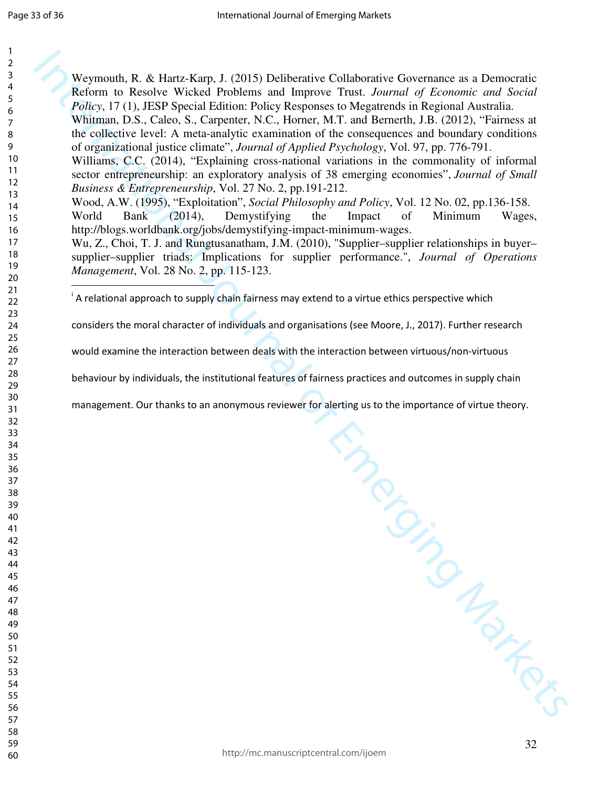Waymouth, R. & Harts-Karp, J. (2015) Dol Northeric Collaborative Governance as a Democratic Reform to Reach Wiekds Proline and Hartow Prime. Market Proline and Hartow Markets Theorem (19. Leads. Chernation of Exception de Weymouth, R. & Hartz-Karp, J. (2015) Deliberative Collaborative Governance as a Democratic Reform to Resolve Wicked Problems and Improve Trust. *Journal of Economic and Social Policy*, 17 (1), JESP Special Edition: Policy Responses to Megatrends in Regional Australia. Whitman, D.S., Caleo, S., Carpenter, N.C., Horner, M.T. and Bernerth, J.B. (2012), "Fairness at the collective level: A meta-analytic examination of the consequences and boundary conditions of organizational justice climate", *Journal of Applied Psychology*, Vol. 97, pp. 776-791. Williams, C.C. (2014), "Explaining cross-national variations in the commonality of informal sector entrepreneurship: an exploratory analysis of 38 emerging economies", *Journal of Small Business & Entrepreneurship*, Vol. 27 No. 2, pp.191-212. Wood, A.W. (1995), "Exploitation", *Social Philosophy and Policy*, Vol. 12 No. 02, pp.136-158. World Bank (2014), Demystifying the Impact of Minimum Wages, http://blogs.worldbank.org/jobs/demystifying-impact-minimum-wages. Wu, Z., Choi, T. J. and Rungtusanatham, J.M. (2010), "Supplier–supplier relationships in buyer– supplier–supplier triads: Implications for supplier performance.", *Journal of Operations Management*, Vol. 28 No. 2, pp. 115-123.  $\overline{a}$ A relational approach to supply chain fairness may extend to a virtue ethics perspective which

considers the moral character of individuals and organisations (see Moore, J., 2017). Further research

would examine the interaction between deals with the interaction between virtuous/non-virtuous

behaviour by individuals, the institutional feat ures of fairness practices and outcomes in supply chain

management. Our thanks to an anonymous reviewer for alert ing us to the importance of virtue theory.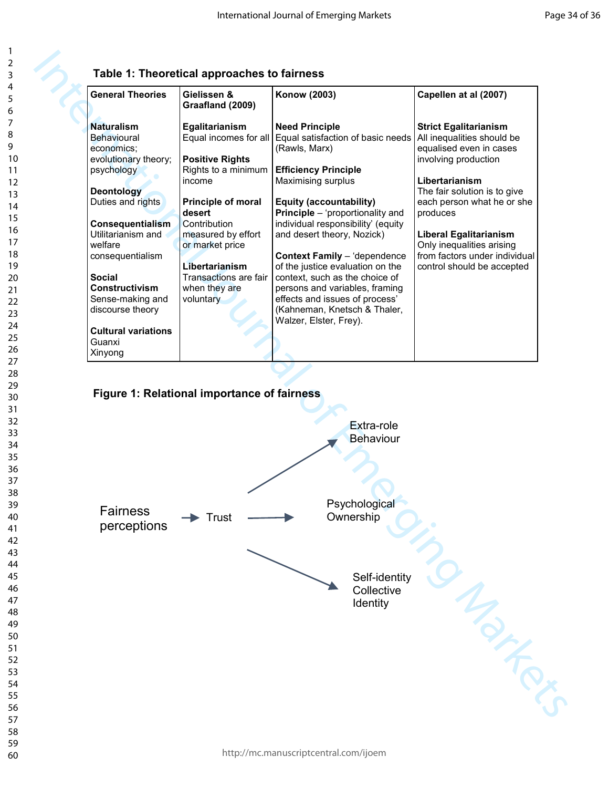## **Table 1: Theoretical approaches to fairness**

| <b>General Theories</b>    | Gielissen &<br>Graafland (2009) | Konow (2003)                                           | Capellen at al (2007)                                 |
|----------------------------|---------------------------------|--------------------------------------------------------|-------------------------------------------------------|
| <b>Naturalism</b>          | Egalitarianism                  | <b>Need Principle</b>                                  | <b>Strict Egalitarianism</b>                          |
| Behavioural<br>economics:  | Equal incomes for all           | Equal satisfaction of basic needs<br>(Rawls, Marx)     | All inequalities should be<br>equalised even in cases |
| evolutionary theory;       | <b>Positive Rights</b>          |                                                        | involving production                                  |
| psychology                 | Rights to a minimum             | <b>Efficiency Principle</b>                            |                                                       |
|                            | income                          | Maximising surplus                                     | Libertarianism                                        |
| <b>Deontology</b>          |                                 |                                                        | The fair solution is to give                          |
| Duties and rights          | <b>Principle of moral</b>       | Equity (accountability)                                | each person what he or she                            |
|                            | desert                          | <b>Principle</b> – 'proportionality and                | produces                                              |
| Consequentialism           | Contribution                    | individual responsibility' (equity                     |                                                       |
| Utilitarianism and         | measured by effort              | and desert theory, Nozick)                             | <b>Liberal Egalitarianism</b>                         |
| welfare                    | or market price                 |                                                        | Only inequalities arising                             |
| consequentialism           |                                 | <b>Context Family</b> - 'dependence                    | from factors under individual                         |
|                            | Libertarianism                  | of the justice evaluation on the                       | control should be accepted                            |
| <b>Social</b>              | Transactions are fair           | context, such as the choice of                         |                                                       |
| Constructivism             | when they are                   | persons and variables, framing                         |                                                       |
| Sense-making and           | voluntary                       | effects and issues of process'                         |                                                       |
| discourse theory           |                                 | (Kahneman, Knetsch & Thaler,<br>Walzer, Elster, Frey). |                                                       |
| <b>Cultural variations</b> |                                 |                                                        |                                                       |
| Guanxi                     |                                 |                                                        |                                                       |
| Xinyong                    |                                 |                                                        |                                                       |

### **Figure 1: Relational importance of fairness**

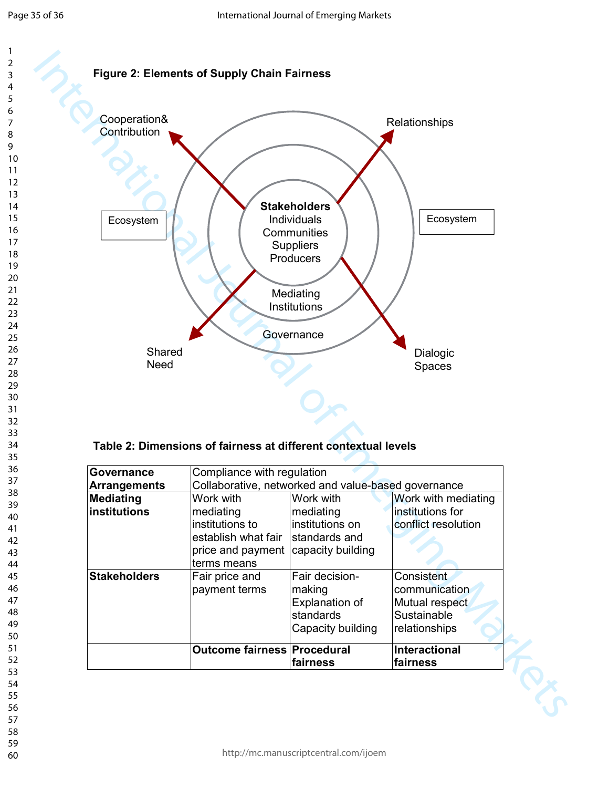



#### **Table 2: Dimensions of fairness at different contextual levels**

| Governance           | Compliance with regulation                          |                       |                     |  |  |
|----------------------|-----------------------------------------------------|-----------------------|---------------------|--|--|
| <b>Arrangements</b>  | Collaborative, networked and value-based governance |                       |                     |  |  |
| <b>Mediating</b>     | Work with                                           | Work with             | Work with mediating |  |  |
| <b>linstitutions</b> | mediating                                           | mediating             | institutions for    |  |  |
|                      | institutions to                                     | institutions on       | conflict resolution |  |  |
|                      | establish what fair                                 | standards and         |                     |  |  |
|                      | price and payment                                   | capacity building     |                     |  |  |
|                      | terms means                                         |                       |                     |  |  |
| <b>Stakeholders</b>  | Fair price and                                      | Fair decision-        | Consistent          |  |  |
|                      | payment terms                                       | making                | communication       |  |  |
|                      |                                                     | <b>Explanation of</b> | Mutual respect      |  |  |
|                      |                                                     | standards             | Sustainable         |  |  |
|                      |                                                     | Capacity building     | relationships       |  |  |
|                      | <b>Outcome fairness Procedural</b>                  |                       | Interactional       |  |  |
|                      |                                                     | fairness              | fairness            |  |  |